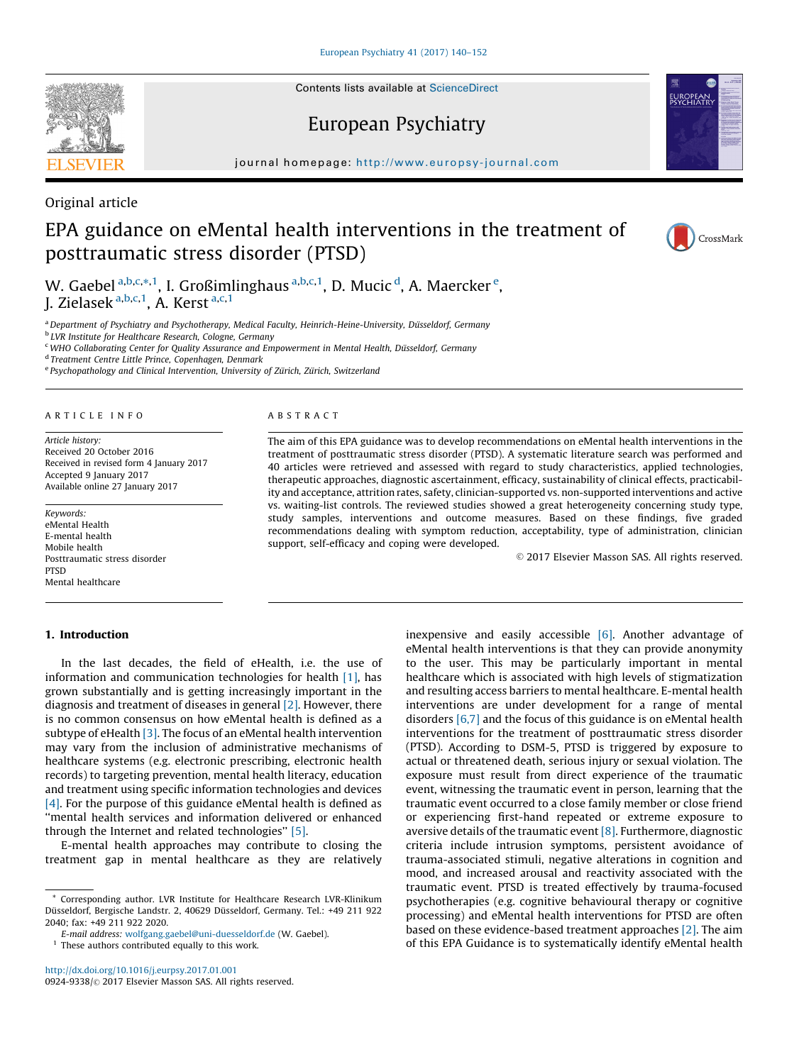Contents lists available at [ScienceDirect](http://www.sciencedirect.com/science/journal/09249338)

# European Psychiatry

journal homepage: http://www.europsy-journal.com



# EPA guidance on eMental health interventions in the treatment of posttraumatic stress disorder (PTSD)



CrossMark

W. Gaebel <sup>a,b,c,\*,1</sup>, I. Großimlinghaus <sup>a,b,c,1</sup>, D. Mucic <sup>d</sup>, A. Maercker <sup>e</sup>, J. Zielasek <sup>a,b,c,1</sup>, A. Kerst <sup>a,c,1</sup>

a Department of Psychiatry and Psychotherapy, Medical Faculty, Heinrich-Heine-University, Düsseldorf, Germany

<sup>b</sup> LVR Institute for Healthcare Research, Cologne, Germany

<sup>c</sup> WHO Collaborating Center for Quality Assurance and Empowerment in Mental Health, Düsseldorf, Germany

<sup>d</sup> Treatment Centre Little Prince, Copenhagen, Denmark

e Psychopathology and Clinical Intervention, University of Zürich, Zürich, Switzerland

#### A R T I C L E I N F O

Article history: Received 20 October 2016 Received in revised form 4 January 2017 Accepted 9 January 2017 Available online 27 January 2017

Keywords: eMental Health E-mental health Mobile health Posttraumatic stress disorder **PTSD** Mental healthcare

### 1. Introduction

In the last decades, the field of eHealth, i.e. the use of information and communication technologies for health [\[1\],](#page-11-0) has grown substantially and is getting increasingly important in the diagnosis and treatment of diseases in general [\[2\]](#page-11-0). However, there is no common consensus on how eMental health is defined as a subtype of eHealth [\[3\]](#page-11-0). The focus of an eMental health intervention may vary from the inclusion of administrative mechanisms of healthcare systems (e.g. electronic prescribing, electronic health records) to targeting prevention, mental health literacy, education and treatment using specific information technologies and devices [\[4\].](#page-11-0) For the purpose of this guidance eMental health is defined as ''mental health services and information delivered or enhanced through the Internet and related technologies'' [\[5\].](#page-11-0)

E-mental health approaches may contribute to closing the treatment gap in mental healthcare as they are relatively

E-mail address: [wolfgang.gaebel@uni-duesseldorf.de](mailto:wolfgang.gaebel@uni-duesseldorf.de) (W. Gaebel).

 $1$  These authors contributed equally to this work.

<http://dx.doi.org/10.1016/j.eurpsy.2017.01.001> 0924-9338/© 2017 Elsevier Masson SAS. All rights reserved.

#### A B S T R A C T

The aim of this EPA guidance was to develop recommendations on eMental health interventions in the treatment of posttraumatic stress disorder (PTSD). A systematic literature search was performed and 40 articles were retrieved and assessed with regard to study characteristics, applied technologies, therapeutic approaches, diagnostic ascertainment, efficacy, sustainability of clinical effects, practicability and acceptance, attrition rates, safety, clinician-supported vs. non-supported interventions and active vs. waiting-list controls. The reviewed studies showed a great heterogeneity concerning study type, study samples, interventions and outcome measures. Based on these findings, five graded recommendations dealing with symptom reduction, acceptability, type of administration, clinician support, self-efficacy and coping were developed.

-<sup>C</sup> 2017 Elsevier Masson SAS. All rights reserved.

inexpensive and easily accessible  $[6]$ . Another advantage of eMental health interventions is that they can provide anonymity to the user. This may be particularly important in mental healthcare which is associated with high levels of stigmatization and resulting access barriers to mental healthcare. E-mental health interventions are under development for a range of mental disorders [\[6,7\]](#page-11-0) and the focus of this guidance is on eMental health interventions for the treatment of posttraumatic stress disorder (PTSD). According to DSM-5, PTSD is triggered by exposure to actual or threatened death, serious injury or sexual violation. The exposure must result from direct experience of the traumatic event, witnessing the traumatic event in person, learning that the traumatic event occurred to a close family member or close friend or experiencing first-hand repeated or extreme exposure to aversive details of the traumatic event  $[8]$ . Furthermore, diagnostic criteria include intrusion symptoms, persistent avoidance of trauma-associated stimuli, negative alterations in cognition and mood, and increased arousal and reactivity associated with the traumatic event. PTSD is treated effectively by trauma-focused psychotherapies (e.g. cognitive behavioural therapy or cognitive processing) and eMental health interventions for PTSD are often based on these evidence-based treatment approaches [\[2\]](#page-11-0). The aim of this EPA Guidance is to systematically identify eMental health



<sup>\*</sup> Corresponding author. LVR Institute for Healthcare Research LVR-Klinikum Düsseldorf, Bergische Landstr. 2, 40629 Düsseldorf, Germany. Tel.: +49 211 922 2040; fax: +49 211 922 2020.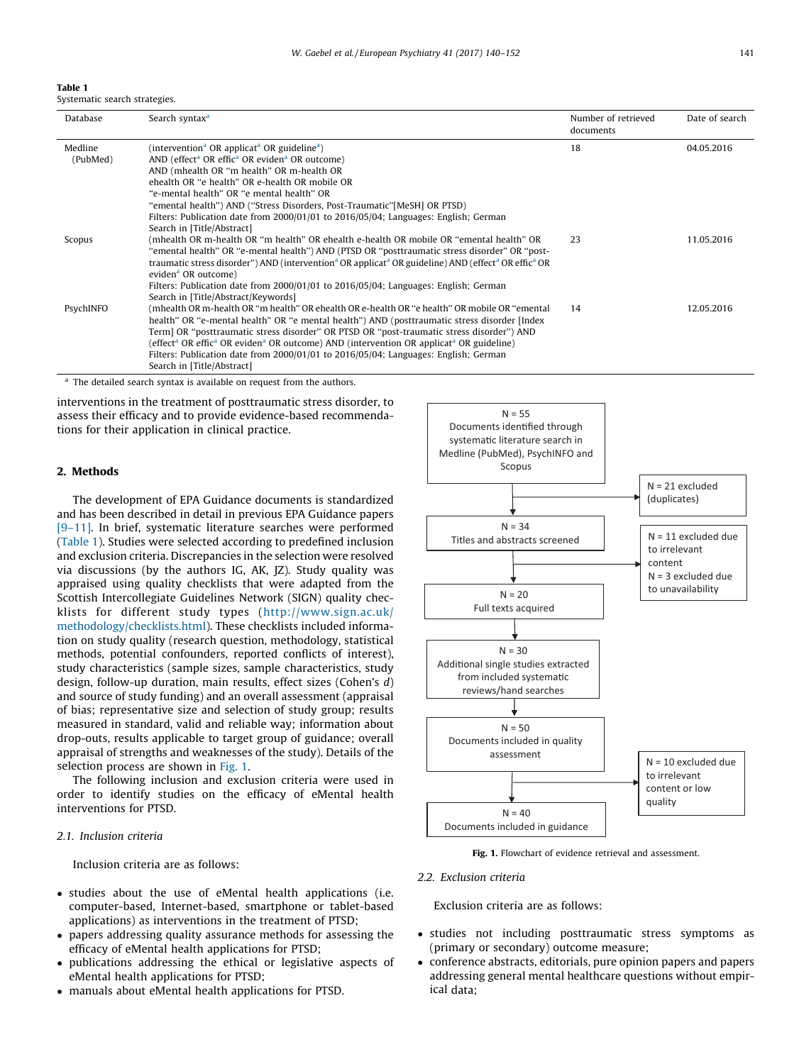#### Table 1 Systematic search strategies.

| Database  | Search syntax <sup>a</sup>                                                                                                                          | Number of retrieved<br>documents | Date of search |
|-----------|-----------------------------------------------------------------------------------------------------------------------------------------------------|----------------------------------|----------------|
| Medline   | (intervention <sup>a</sup> OR applicat <sup>a</sup> OR guideline <sup>a</sup> )                                                                     | 18                               | 04.05.2016     |
| (PubMed)  | AND (effect <sup>a</sup> OR effic <sup>a</sup> OR eviden <sup>a</sup> OR outcome)                                                                   |                                  |                |
|           | AND (mhealth OR "m health" OR m-health OR                                                                                                           |                                  |                |
|           | ehealth OR "e health" OR e-health OR mobile OR                                                                                                      |                                  |                |
|           | "e-mental health" OR "e mental health" OR                                                                                                           |                                  |                |
|           | "emental health") AND ("Stress Disorders, Post-Traumatic"[MeSH] OR PTSD)                                                                            |                                  |                |
|           | Filters: Publication date from 2000/01/01 to 2016/05/04; Languages: English; German                                                                 |                                  |                |
|           | Search in [Title/Abstract]                                                                                                                          |                                  |                |
| Scopus    | (mhealth OR m-health OR "m health" OR ehealth e-health OR mobile OR "emental health" OR                                                             | 23                               | 11.05.2016     |
|           | "emental health" OR "e-mental health") AND (PTSD OR "posttraumatic stress disorder" OR "post-                                                       |                                  |                |
|           | traumatic stress disorder") AND (intervention <sup>a</sup> OR applicat <sup>a</sup> OR guideline) AND (effect <sup>a</sup> OR effic <sup>a</sup> OR |                                  |                |
|           | eviden <sup>a</sup> OR outcome)                                                                                                                     |                                  |                |
|           | Filters: Publication date from 2000/01/01 to 2016/05/04; Languages: English; German                                                                 |                                  |                |
|           | Search in [Title/Abstract/Keywords]                                                                                                                 |                                  |                |
| PsychINFO | (mhealth OR m-health OR "m health" OR ehealth OR e-health OR "e health" OR mobile OR "emental                                                       | 14                               | 12.05.2016     |
|           | health" OR "e-mental health" OR "e mental health") AND (posttraumatic stress disorder [Index                                                        |                                  |                |
|           | Term] OR "posttraumatic stress disorder" OR PTSD OR "post-traumatic stress disorder") AND                                                           |                                  |                |
|           | (effect <sup>a</sup> OR effic <sup>a</sup> OR eviden <sup>a</sup> OR outcome) AND (intervention OR applicat <sup>a</sup> OR guideline)              |                                  |                |
|           | Filters: Publication date from 2000/01/01 to 2016/05/04; Languages: English; German                                                                 |                                  |                |
|           | Search in [Title/Abstract]                                                                                                                          |                                  |                |

<sup>a</sup> The detailed search syntax is available on request from the authors.

interventions in the treatment of posttraumatic stress disorder, to assess their efficacy and to provide evidence-based recommendations for their application in clinical practice.

## 2. Methods

The development of EPA Guidance documents is standardized and has been described in detail in previous EPA Guidance papers [\[9–11\].](#page-11-0) In brief, systematic literature searches were performed (Table 1). Studies were selected according to predefined inclusion and exclusion criteria. Discrepancies in the selection were resolved via discussions (by the authors IG, AK, JZ). Study quality was appraised using quality checklists that were adapted from the Scottish Intercollegiate Guidelines Network (SIGN) quality checklists for different study types ([http://www.sign.ac.uk/](http://www.sign.ac.uk/methodology/checklists.html) [methodology/checklists.html\)](http://www.sign.ac.uk/methodology/checklists.html). These checklists included information on study quality (research question, methodology, statistical methods, potential confounders, reported conflicts of interest), study characteristics (sample sizes, sample characteristics, study design, follow-up duration, main results, effect sizes (Cohen's d) and source of study funding) and an overall assessment (appraisal of bias; representative size and selection of study group; results measured in standard, valid and reliable way; information about drop-outs, results applicable to target group of guidance; overall appraisal of strengths and weaknesses of the study). Details of the selection process are shown in Fig. 1.

The following inclusion and exclusion criteria were used in order to identify studies on the efficacy of eMental health interventions for PTSD.

## 2.1. Inclusion criteria

Inclusion criteria are as follows:

- studies about the use of eMental health applications (i.e. computer-based, Internet-based, smartphone or tablet-based applications) as interventions in the treatment of PTSD;
- papers addressing quality assurance methods for assessing the efficacy of eMental health applications for PTSD;
- publications addressing the ethical or legislative aspects of eMental health applications for PTSD;
- manuals about eMental health applications for PTSD.



Fig. 1. Flowchart of evidence retrieval and assessment.

2.2. Exclusion criteria

Exclusion criteria are as follows:

- studies not including posttraumatic stress symptoms as (primary or secondary) outcome measure;
- conference abstracts, editorials, pure opinion papers and papers addressing general mental healthcare questions without empirical data;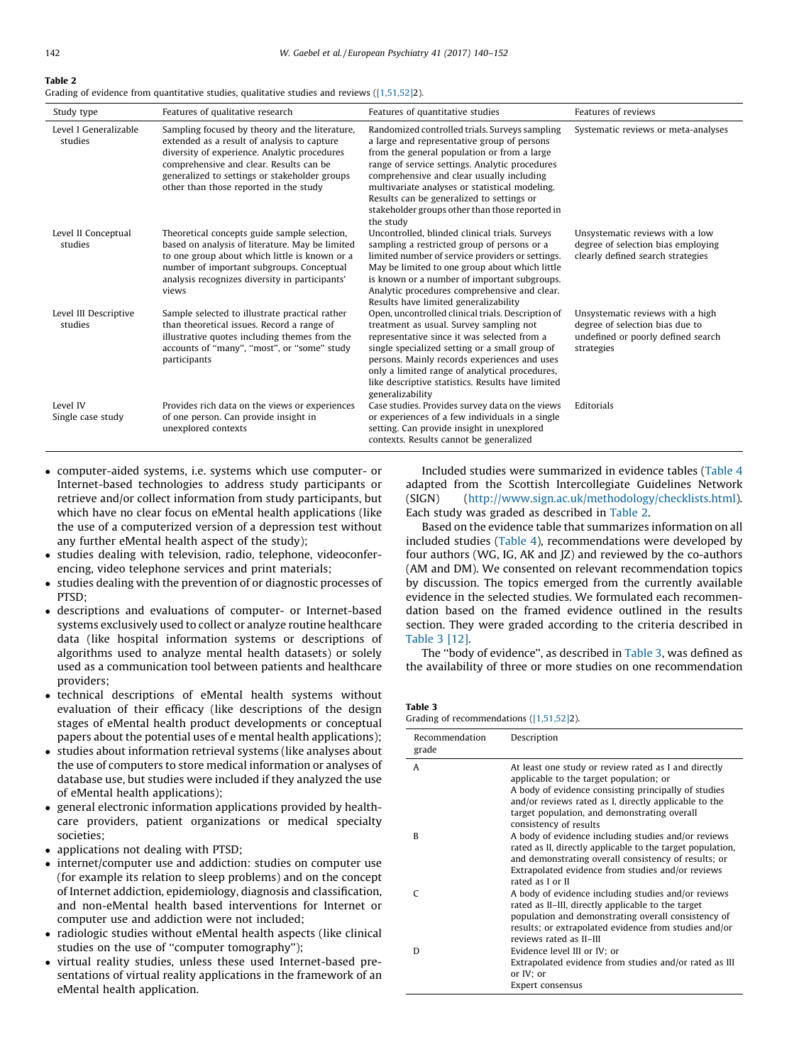## <span id="page-2-0"></span>Table 2

Grading of evidence from quantitative studies, qualitative studies and reviews ([\[1,51,52\]](#page-11-0)2).

| Study type                       | Features of qualitative research                                                                                                                                                                                                                                                    | Features of quantitative studies                                                                                                                                                                                                                                                                                                                                                                           | Features of reviews                                                                                                     |
|----------------------------------|-------------------------------------------------------------------------------------------------------------------------------------------------------------------------------------------------------------------------------------------------------------------------------------|------------------------------------------------------------------------------------------------------------------------------------------------------------------------------------------------------------------------------------------------------------------------------------------------------------------------------------------------------------------------------------------------------------|-------------------------------------------------------------------------------------------------------------------------|
| Level I Generalizable<br>studies | Sampling focused by theory and the literature,<br>extended as a result of analysis to capture<br>diversity of experience. Analytic procedures<br>comprehensive and clear. Results can be<br>generalized to settings or stakeholder groups<br>other than those reported in the study | Randomized controlled trials. Surveys sampling<br>a large and representative group of persons<br>from the general population or from a large<br>range of service settings. Analytic procedures<br>comprehensive and clear usually including<br>multivariate analyses or statistical modeling.<br>Results can be generalized to settings or<br>stakeholder groups other than those reported in<br>the study | Systematic reviews or meta-analyses                                                                                     |
| Level II Conceptual<br>studies   | Theoretical concepts guide sample selection,<br>based on analysis of literature. May be limited<br>to one group about which little is known or a<br>number of important subgroups. Conceptual<br>analysis recognizes diversity in participants'<br>views                            | Uncontrolled, blinded clinical trials, Surveys<br>sampling a restricted group of persons or a<br>limited number of service providers or settings.<br>May be limited to one group about which little<br>is known or a number of important subgroups.<br>Analytic procedures comprehensive and clear.<br>Results have limited generalizability                                                               | Unsystematic reviews with a low<br>degree of selection bias employing<br>clearly defined search strategies              |
| Level III Descriptive<br>studies | Sample selected to illustrate practical rather<br>than theoretical issues. Record a range of<br>illustrative quotes including themes from the<br>accounts of "many", "most", or "some" study<br>participants                                                                        | Open, uncontrolled clinical trials. Description of<br>treatment as usual. Survey sampling not<br>representative since it was selected from a<br>single specialized setting or a small group of<br>persons. Mainly records experiences and uses<br>only a limited range of analytical procedures,<br>like descriptive statistics. Results have limited<br>generalizability                                  | Unsystematic reviews with a high<br>degree of selection bias due to<br>undefined or poorly defined search<br>strategies |
| Level IV<br>Single case study    | Provides rich data on the views or experiences<br>of one person. Can provide insight in<br>unexplored contexts                                                                                                                                                                      | Case studies. Provides survey data on the views<br>or experiences of a few individuals in a single<br>setting. Can provide insight in unexplored<br>contexts. Results cannot be generalized                                                                                                                                                                                                                | Editorials                                                                                                              |

- computer-aided systems, i.e. systems which use computer- or Internet-based technologies to address study participants or retrieve and/or collect information from study participants, but which have no clear focus on eMental health applications (like the use of a computerized version of a depression test without any further eMental health aspect of the study);
- studies dealing with television, radio, telephone, videoconferencing, video telephone services and print materials;
- studies dealing with the prevention of or diagnostic processes of PTSD;
- descriptions and evaluations of computer- or Internet-based systems exclusively used to collect or analyze routine healthcare data (like hospital information systems or descriptions of algorithms used to analyze mental health datasets) or solely used as a communication tool between patients and healthcare providers;
- technical descriptions of eMental health systems without evaluation of their efficacy (like descriptions of the design stages of eMental health product developments or conceptual papers about the potential uses of e mental health applications);
- studies about information retrieval systems (like analyses about the use of computers to store medical information or analyses of database use, but studies were included if they analyzed the use of eMental health applications);
- general electronic information applications provided by healthcare providers, patient organizations or medical specialty societies;
- applications not dealing with PTSD;
- internet/computer use and addiction: studies on computer use (for example its relation to sleep problems) and on the concept of Internet addiction, epidemiology, diagnosis and classification, and non-eMental health based interventions for Internet or computer use and addiction were not included;
- radiologic studies without eMental health aspects (like clinical studies on the use of ''computer tomography'');
- virtual reality studies, unless these used Internet-based presentations of virtual reality applications in the framework of an eMental health application.

Included studies were summarized in evidence tables ([Table](#page-3-0) 4 adapted from the Scottish Intercollegiate Guidelines Network (SIGN) [\(http://www.sign.ac.uk/methodology/checklists.html\)](http://www.sign.ac.uk/methodology/checklists.html). Each study was graded as described in Table 2.

Based on the evidence table that summarizes information on all included studies ([Table](#page-3-0) 4), recommendations were developed by four authors (WG, IG, AK and JZ) and reviewed by the co-authors (AM and DM). We consented on relevant recommendation topics by discussion. The topics emerged from the currently available evidence in the selected studies. We formulated each recommendation based on the framed evidence outlined in the results section. They were graded according to the criteria described in Table 3 [\[12\]](#page-11-0).

The ''body of evidence'', as described in Table 3, was defined as the availability of three or more studies on one recommendation

Table 3 Grading of recommendations [\(\[1,51,52\]2](#page-11-0)).

| Recommendation<br>grade | Description                                                                                                                                                                                                                                                                                |
|-------------------------|--------------------------------------------------------------------------------------------------------------------------------------------------------------------------------------------------------------------------------------------------------------------------------------------|
| A                       | At least one study or review rated as I and directly<br>applicable to the target population; or<br>A body of evidence consisting principally of studies<br>and/or reviews rated as I, directly applicable to the<br>target population, and demonstrating overall<br>consistency of results |
| B                       | A body of evidence including studies and/or reviews<br>rated as II, directly applicable to the target population,<br>and demonstrating overall consistency of results; or<br>Extrapolated evidence from studies and/or reviews<br>rated as I or II                                         |
| C                       | A body of evidence including studies and/or reviews<br>rated as II-III, directly applicable to the target<br>population and demonstrating overall consistency of<br>results; or extrapolated evidence from studies and/or<br>reviews rated as II-III                                       |
| D                       | Evidence level III or IV; or<br>Extrapolated evidence from studies and/or rated as III<br>or IV; or<br>Expert consensus                                                                                                                                                                    |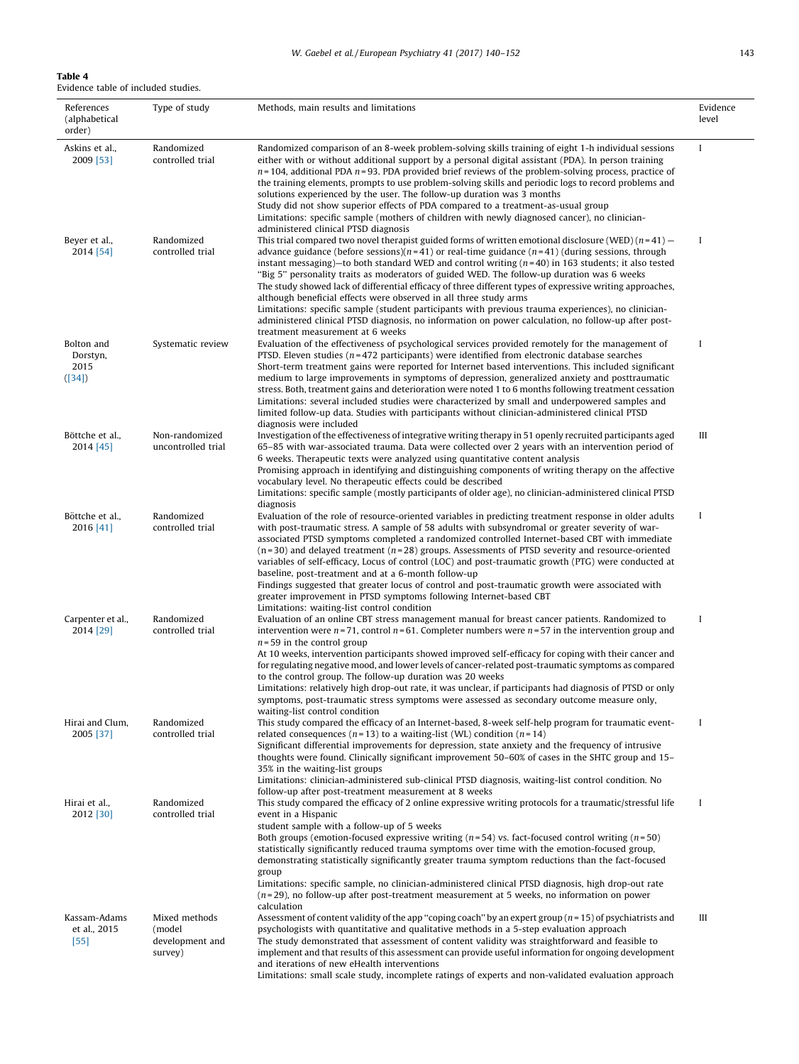## <span id="page-3-0"></span>Table 4

Evidence table of included studies.

| References<br>(alphabetical<br>order)    | Type of study                                         | Methods, main results and limitations                                                                                                                                                                                                                                                                                                                                                                                                                                                                                                                                                                                                                                                                                                                                                                                                                                                              | Evidence<br>level |
|------------------------------------------|-------------------------------------------------------|----------------------------------------------------------------------------------------------------------------------------------------------------------------------------------------------------------------------------------------------------------------------------------------------------------------------------------------------------------------------------------------------------------------------------------------------------------------------------------------------------------------------------------------------------------------------------------------------------------------------------------------------------------------------------------------------------------------------------------------------------------------------------------------------------------------------------------------------------------------------------------------------------|-------------------|
| Askins et al.,<br>2009 [53]              | Randomized<br>controlled trial                        | Randomized comparison of an 8-week problem-solving skills training of eight 1-h individual sessions<br>either with or without additional support by a personal digital assistant (PDA). In person training<br>$n = 104$ , additional PDA $n = 93$ . PDA provided brief reviews of the problem-solving process, practice of<br>the training elements, prompts to use problem-solving skills and periodic logs to record problems and<br>solutions experienced by the user. The follow-up duration was 3 months<br>Study did not show superior effects of PDA compared to a treatment-as-usual group<br>Limitations: specific sample (mothers of children with newly diagnosed cancer), no clinician-                                                                                                                                                                                                | $\mathbf I$       |
| Beyer et al.,<br>2014 [54]               | Randomized<br>controlled trial                        | administered clinical PTSD diagnosis<br>This trial compared two novel therapist guided forms of written emotional disclosure (WED) $(n=41)$ –<br>advance guidance (before sessions)( $n=41$ ) or real-time guidance ( $n=41$ ) (during sessions, through<br>instant messaging)—to both standard WED and control writing $(n=40)$ in 163 students; it also tested<br>"Big 5" personality traits as moderators of guided WED. The follow-up duration was 6 weeks<br>The study showed lack of differential efficacy of three different types of expressive writing approaches,<br>although beneficial effects were observed in all three study arms<br>Limitations: specific sample (student participants with previous trauma experiences), no clinician-<br>administered clinical PTSD diagnosis, no information on power calculation, no follow-up after post-<br>treatment measurement at 6 weeks | I                 |
| Bolton and<br>Dorstyn,<br>2015<br>([34]) | Systematic review                                     | Evaluation of the effectiveness of psychological services provided remotely for the management of<br>PTSD. Eleven studies ( $n=472$ participants) were identified from electronic database searches<br>Short-term treatment gains were reported for Internet based interventions. This included significant<br>medium to large improvements in symptoms of depression, generalized anxiety and posttraumatic<br>stress. Both, treatment gains and deterioration were noted 1 to 6 months following treatment cessation<br>Limitations: several included studies were characterized by small and underpowered samples and<br>limited follow-up data. Studies with participants without clinician-administered clinical PTSD<br>diagnosis were included                                                                                                                                              | I                 |
| Böttche et al.,<br>2014 [45]             | Non-randomized<br>uncontrolled trial                  | Investigation of the effectiveness of integrative writing therapy in 51 openly recruited participants aged<br>65–85 with war-associated trauma. Data were collected over 2 years with an intervention period of<br>6 weeks. Therapeutic texts were analyzed using quantitative content analysis<br>Promising approach in identifying and distinguishing components of writing therapy on the affective<br>vocabulary level. No therapeutic effects could be described<br>Limitations: specific sample (mostly participants of older age), no clinician-administered clinical PTSD<br>diagnosis                                                                                                                                                                                                                                                                                                     | Ш                 |
| Böttche et al.,<br>2016 [41]             | Randomized<br>controlled trial                        | Evaluation of the role of resource-oriented variables in predicting treatment response in older adults<br>with post-traumatic stress. A sample of 58 adults with subsyndromal or greater severity of war-<br>associated PTSD symptoms completed a randomized controlled Internet-based CBT with immediate<br>$(n=30)$ and delayed treatment $(n=28)$ groups. Assessments of PTSD severity and resource-oriented<br>variables of self-efficacy, Locus of control (LOC) and post-traumatic growth (PTG) were conducted at<br>baseline, post-treatment and at a 6-month follow-up<br>Findings suggested that greater locus of control and post-traumatic growth were associated with<br>greater improvement in PTSD symptoms following Internet-based CBT                                                                                                                                             | $\bf{I}$          |
| Carpenter et al.,<br>2014 [29]           | Randomized<br>controlled trial                        | Limitations: waiting-list control condition<br>Evaluation of an online CBT stress management manual for breast cancer patients. Randomized to<br>intervention were $n = 71$ , control $n = 61$ . Completer numbers were $n = 57$ in the intervention group and<br>$n = 59$ in the control group<br>At 10 weeks, intervention participants showed improved self-efficacy for coping with their cancer and<br>for regulating negative mood, and lower levels of cancer-related post-traumatic symptoms as compared<br>to the control group. The follow-up duration was 20 weeks<br>Limitations: relatively high drop-out rate, it was unclear, if participants had diagnosis of PTSD or only<br>symptoms, post-traumatic stress symptoms were assessed as secondary outcome measure only,<br>waiting-list control condition                                                                          | I                 |
| Hirai and Clum,<br>2005 [37]             | Randomized<br>controlled trial                        | This study compared the efficacy of an Internet-based, 8-week self-help program for traumatic event-<br>related consequences ( $n = 13$ ) to a waiting-list (WL) condition ( $n = 14$ )<br>Significant differential improvements for depression, state anxiety and the frequency of intrusive<br>thoughts were found. Clinically significant improvement 50–60% of cases in the SHTC group and 15–<br>35% in the waiting-list groups<br>Limitations: clinician-administered sub-clinical PTSD diagnosis, waiting-list control condition. No<br>follow-up after post-treatment measurement at 8 weeks                                                                                                                                                                                                                                                                                               | I                 |
| Hirai et al.,<br>2012 [30]               | Randomized<br>controlled trial                        | This study compared the efficacy of 2 online expressive writing protocols for a traumatic/stressful life<br>event in a Hispanic<br>student sample with a follow-up of 5 weeks<br>Both groups (emotion-focused expressive writing $(n=54)$ vs. fact-focused control writing $(n=50)$ )<br>statistically significantly reduced trauma symptoms over time with the emotion-focused group,<br>demonstrating statistically significantly greater trauma symptom reductions than the fact-focused<br>group<br>Limitations: specific sample, no clinician-administered clinical PTSD diagnosis, high drop-out rate<br>$(n=29)$ , no follow-up after post-treatment measurement at 5 weeks, no information on power<br>calculation                                                                                                                                                                         | $\bf{I}$          |
| Kassam-Adams<br>et al., 2015<br>$[55]$   | Mixed methods<br>(model<br>development and<br>survey) | Assessment of content validity of the app "coping coach" by an expert group $(n = 15)$ of psychiatrists and<br>psychologists with quantitative and qualitative methods in a 5-step evaluation approach<br>The study demonstrated that assessment of content validity was straightforward and feasible to<br>implement and that results of this assessment can provide useful information for ongoing development<br>and iterations of new eHealth interventions<br>Limitations: small scale study, incomplete ratings of experts and non-validated evaluation approach                                                                                                                                                                                                                                                                                                                             | Ш                 |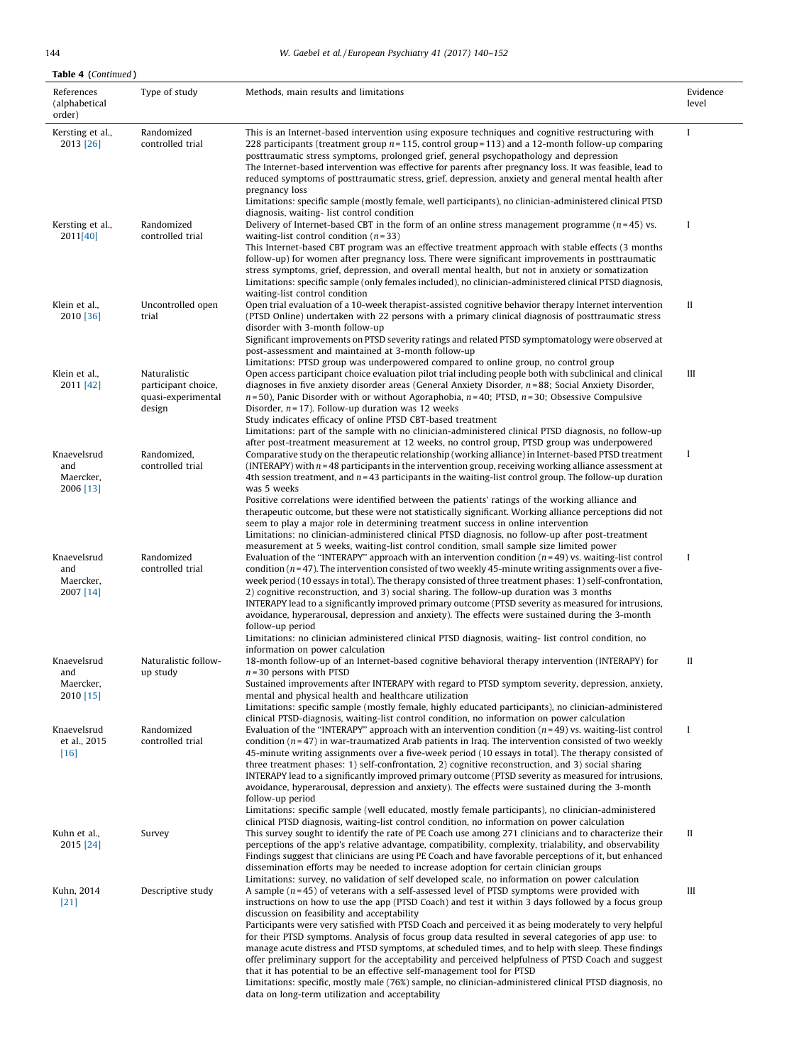# 144 W. Gaebel et al. / European Psychiatry 41 (2017) 140–152

 $\overline{\phantom{a}}$ 

| <b>Table 4 (Continued)</b>                   |                                                                     |                                                                                                                                                                                                                                                                                                                                                                                                                                                                                                                                                                                                                                                                                                                                                                                                                                                                                                                                                                    |                   |
|----------------------------------------------|---------------------------------------------------------------------|--------------------------------------------------------------------------------------------------------------------------------------------------------------------------------------------------------------------------------------------------------------------------------------------------------------------------------------------------------------------------------------------------------------------------------------------------------------------------------------------------------------------------------------------------------------------------------------------------------------------------------------------------------------------------------------------------------------------------------------------------------------------------------------------------------------------------------------------------------------------------------------------------------------------------------------------------------------------|-------------------|
| References<br>(alphabetical<br>order)        | Type of study                                                       | Methods, main results and limitations                                                                                                                                                                                                                                                                                                                                                                                                                                                                                                                                                                                                                                                                                                                                                                                                                                                                                                                              | Evidence<br>level |
| Kersting et al.,<br>2013 [26]                | Randomized<br>controlled trial                                      | This is an Internet-based intervention using exposure techniques and cognitive restructuring with<br>228 participants (treatment group $n = 115$ , control group = 113) and a 12-month follow-up comparing<br>posttraumatic stress symptoms, prolonged grief, general psychopathology and depression<br>The Internet-based intervention was effective for parents after pregnancy loss. It was feasible, lead to<br>reduced symptoms of posttraumatic stress, grief, depression, anxiety and general mental health after<br>pregnancy loss<br>Limitations: specific sample (mostly female, well participants), no clinician-administered clinical PTSD                                                                                                                                                                                                                                                                                                             | I                 |
| Kersting et al.,<br>2011[40]                 | Randomized<br>controlled trial                                      | diagnosis, waiting- list control condition<br>Delivery of Internet-based CBT in the form of an online stress management programme ( $n=45$ ) vs.<br>waiting-list control condition $(n=33)$<br>This Internet-based CBT program was an effective treatment approach with stable effects (3 months<br>follow-up) for women after pregnancy loss. There were significant improvements in posttraumatic<br>stress symptoms, grief, depression, and overall mental health, but not in anxiety or somatization<br>Limitations: specific sample (only females included), no clinician-administered clinical PTSD diagnosis,<br>waiting-list control condition                                                                                                                                                                                                                                                                                                             | I                 |
| Klein et al.,<br>2010 [36]                   | Uncontrolled open<br>trial                                          | Open trial evaluation of a 10-week therapist-assisted cognitive behavior therapy Internet intervention<br>(PTSD Online) undertaken with 22 persons with a primary clinical diagnosis of posttraumatic stress<br>disorder with 3-month follow-up<br>Significant improvements on PTSD severity ratings and related PTSD symptomatology were observed at<br>post-assessment and maintained at 3-month follow-up<br>Limitations: PTSD group was underpowered compared to online group, no control group                                                                                                                                                                                                                                                                                                                                                                                                                                                                | П                 |
| Klein et al.,<br>2011 [42]                   | Naturalistic<br>participant choice,<br>quasi-experimental<br>design | Open access participant choice evaluation pilot trial including people both with subclinical and clinical<br>diagnoses in five anxiety disorder areas (General Anxiety Disorder, $n = 88$ ; Social Anxiety Disorder,<br>$n=50$ ), Panic Disorder with or without Agoraphobia, $n=40$ ; PTSD, $n=30$ ; Obsessive Compulsive<br>Disorder, $n = 17$ ). Follow-up duration was 12 weeks<br>Study indicates efficacy of online PTSD CBT-based treatment<br>Limitations: part of the sample with no clinician-administered clinical PTSD diagnosis, no follow-up<br>after post-treatment measurement at 12 weeks, no control group, PTSD group was underpowered                                                                                                                                                                                                                                                                                                          | Ш                 |
| Knaevelsrud<br>and<br>Maercker,<br>2006 [13] | Randomized,<br>controlled trial                                     | Comparative study on the therapeutic relationship (working alliance) in Internet-based PTSD treatment<br>(INTERAPY) with $n = 48$ participants in the intervention group, receiving working alliance assessment at<br>4th session treatment, and $n = 43$ participants in the waiting-list control group. The follow-up duration<br>was 5 weeks<br>Positive correlations were identified between the patients' ratings of the working alliance and<br>therapeutic outcome, but these were not statistically significant. Working alliance perceptions did not<br>seem to play a major role in determining treatment success in online intervention<br>Limitations: no clinician-administered clinical PTSD diagnosis, no follow-up after post-treatment<br>measurement at 5 weeks, waiting-list control condition, small sample size limited power                                                                                                                 | I                 |
| Knaevelsrud<br>and<br>Maercker,<br>2007 [14] | Randomized<br>controlled trial                                      | Evaluation of the "INTERAPY" approach with an intervention condition $(n=49)$ vs. waiting-list control<br>condition ( $n = 47$ ). The intervention consisted of two weekly 45-minute writing assignments over a five-<br>week period (10 essays in total). The therapy consisted of three treatment phases: 1) self-confrontation,<br>2) cognitive reconstruction, and 3) social sharing. The follow-up duration was 3 months<br>INTERAPY lead to a significantly improved primary outcome (PTSD severity as measured for intrusions,<br>avoidance, hyperarousal, depression and anxiety). The effects were sustained during the 3-month<br>follow-up period<br>Limitations: no clinician administered clinical PTSD diagnosis, waiting- list control condition, no<br>information on power calculation                                                                                                                                                            | $\bf{I}$          |
| Knaevelsrud<br>and<br>Maercker,<br>2010 [15] | Naturalistic follow-<br>up study                                    | 18-month follow-up of an Internet-based cognitive behavioral therapy intervention (INTERAPY) for<br>$n = 30$ persons with PTSD<br>Sustained improvements after INTERAPY with regard to PTSD symptom severity, depression, anxiety,<br>mental and physical health and healthcare utilization<br>Limitations: specific sample (mostly female, highly educated participants), no clinician-administered                                                                                                                                                                                                                                                                                                                                                                                                                                                                                                                                                               | П                 |
| Knaevelsrud<br>et al., 2015<br>$[16]$        | Randomized<br>controlled trial                                      | clinical PTSD-diagnosis, waiting-list control condition, no information on power calculation<br>Evaluation of the "INTERAPY" approach with an intervention condition $(n=49)$ vs. waiting-list control<br>condition $(n=47)$ in war-traumatized Arab patients in Iraq. The intervention consisted of two weekly<br>45-minute writing assignments over a five-week period (10 essays in total). The therapy consisted of<br>three treatment phases: 1) self-confrontation, 2) cognitive reconstruction, and 3) social sharing<br>INTERAPY lead to a significantly improved primary outcome (PTSD severity as measured for intrusions,<br>avoidance, hyperarousal, depression and anxiety). The effects were sustained during the 3-month<br>follow-up period<br>Limitations: specific sample (well educated, mostly female participants), no clinician-administered<br>clinical PTSD diagnosis, waiting-list control condition, no information on power calculation | $\mathbf I$       |
| Kuhn et al.,<br>2015 [24]                    | Survey                                                              | This survey sought to identify the rate of PE Coach use among 271 clinicians and to characterize their<br>perceptions of the app's relative advantage, compatibility, complexity, trialability, and observability<br>Findings suggest that clinicians are using PE Coach and have favorable perceptions of it, but enhanced<br>dissemination efforts may be needed to increase adoption for certain clinician groups<br>Limitations: survey, no validation of self developed scale, no information on power calculation                                                                                                                                                                                                                                                                                                                                                                                                                                            | П                 |
| Kuhn, 2014<br>$[21]$                         | Descriptive study                                                   | A sample $(n=45)$ of veterans with a self-assessed level of PTSD symptoms were provided with<br>instructions on how to use the app (PTSD Coach) and test it within 3 days followed by a focus group<br>discussion on feasibility and acceptability<br>Participants were very satisfied with PTSD Coach and perceived it as being moderately to very helpful<br>for their PTSD symptoms. Analysis of focus group data resulted in several categories of app use: to<br>manage acute distress and PTSD symptoms, at scheduled times, and to help with sleep. These findings<br>offer preliminary support for the acceptability and perceived helpfulness of PTSD Coach and suggest<br>that it has potential to be an effective self-management tool for PTSD<br>Limitations: specific, mostly male (76%) sample, no clinician-administered clinical PTSD diagnosis, no<br>data on long-term utilization and acceptability                                            | Ш                 |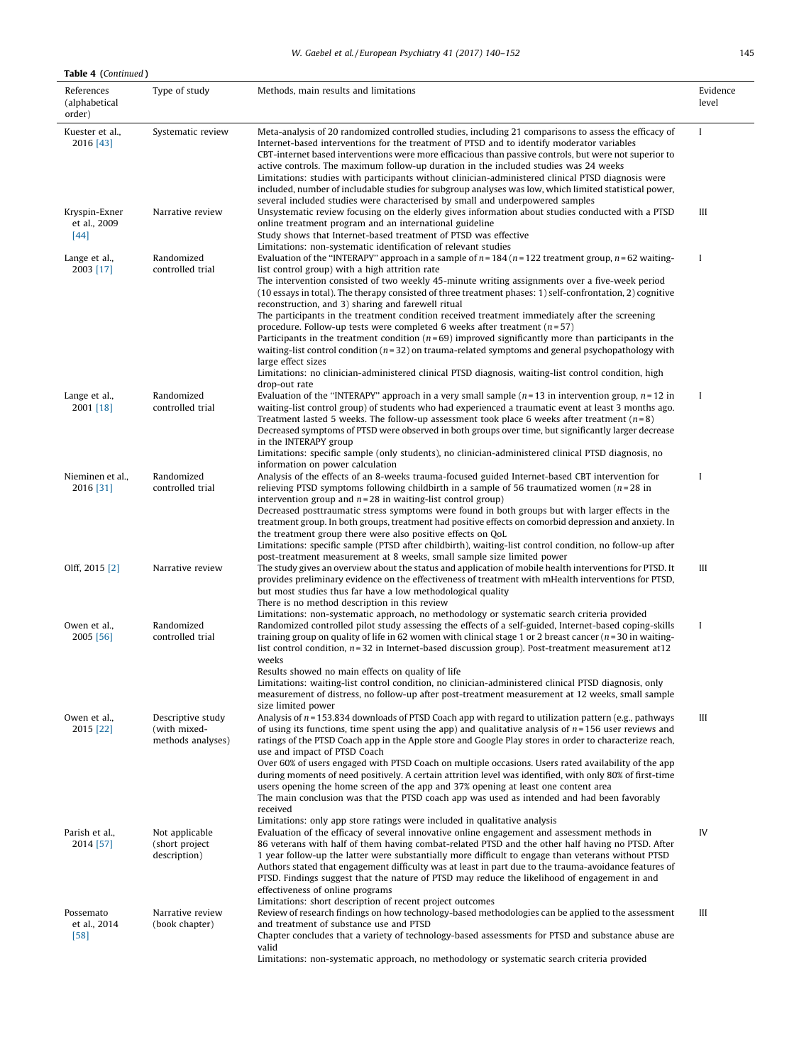# W. Gaebel et al./European Psychiatry 41 (2017) 140-152

| <b>Table 4 (Continued)</b>              |                                                        |                                                                                                                                                                                                                                                                                                                                                                                                                                                                                                                                                                                                                                                                                                                                                                                                                                                                                                                                                                       |                   |
|-----------------------------------------|--------------------------------------------------------|-----------------------------------------------------------------------------------------------------------------------------------------------------------------------------------------------------------------------------------------------------------------------------------------------------------------------------------------------------------------------------------------------------------------------------------------------------------------------------------------------------------------------------------------------------------------------------------------------------------------------------------------------------------------------------------------------------------------------------------------------------------------------------------------------------------------------------------------------------------------------------------------------------------------------------------------------------------------------|-------------------|
| References<br>(alphabetical<br>order)   | Type of study                                          | Methods, main results and limitations                                                                                                                                                                                                                                                                                                                                                                                                                                                                                                                                                                                                                                                                                                                                                                                                                                                                                                                                 | Evidence<br>level |
| Kuester et al.,<br>2016 [43]            | Systematic review                                      | Meta-analysis of 20 randomized controlled studies, including 21 comparisons to assess the efficacy of<br>Internet-based interventions for the treatment of PTSD and to identify moderator variables<br>CBT-internet based interventions were more efficacious than passive controls, but were not superior to<br>active controls. The maximum follow-up duration in the included studies was 24 weeks<br>Limitations: studies with participants without clinician-administered clinical PTSD diagnosis were<br>included, number of includable studies for subgroup analyses was low, which limited statistical power,<br>several included studies were characterised by small and underpowered samples                                                                                                                                                                                                                                                                | $\bf{I}$          |
| Kryspin-Exner<br>et al., 2009<br>$[44]$ | Narrative review                                       | Unsystematic review focusing on the elderly gives information about studies conducted with a PTSD<br>online treatment program and an international guideline<br>Study shows that Internet-based treatment of PTSD was effective<br>Limitations: non-systematic identification of relevant studies                                                                                                                                                                                                                                                                                                                                                                                                                                                                                                                                                                                                                                                                     | Ш                 |
| Lange et al.,<br>2003 [17]              | Randomized<br>controlled trial                         | Evaluation of the "INTERAPY" approach in a sample of $n = 184$ ( $n = 122$ treatment group, $n = 62$ waiting-<br>list control group) with a high attrition rate<br>The intervention consisted of two weekly 45-minute writing assignments over a five-week period<br>(10 essays in total). The therapy consisted of three treatment phases: 1) self-confrontation, 2) cognitive<br>reconstruction, and 3) sharing and farewell ritual<br>The participants in the treatment condition received treatment immediately after the screening<br>procedure. Follow-up tests were completed 6 weeks after treatment $(n=57)$<br>Participants in the treatment condition $(n=69)$ improved significantly more than participants in the<br>waiting-list control condition ( $n=32$ ) on trauma-related symptoms and general psychopathology with<br>large effect sizes<br>Limitations: no clinician-administered clinical PTSD diagnosis, waiting-list control condition, high | Ι                 |
| Lange et al.,<br>2001 [18]              | Randomized<br>controlled trial                         | drop-out rate<br>Evaluation of the "INTERAPY" approach in a very small sample $(n=13$ in intervention group, $n=12$ in<br>waiting-list control group) of students who had experienced a traumatic event at least 3 months ago.<br>Treatment lasted 5 weeks. The follow-up assessment took place 6 weeks after treatment ( $n=8$ )<br>Decreased symptoms of PTSD were observed in both groups over time, but significantly larger decrease<br>in the INTERAPY group<br>Limitations: specific sample (only students), no clinician-administered clinical PTSD diagnosis, no<br>information on power calculation                                                                                                                                                                                                                                                                                                                                                         | $\bf{I}$          |
| Nieminen et al.,<br>2016 [31]           | Randomized<br>controlled trial                         | Analysis of the effects of an 8-weeks trauma-focused guided Internet-based CBT intervention for<br>relieving PTSD symptoms following childbirth in a sample of 56 traumatized women ( $n = 28$ in<br>intervention group and $n = 28$ in waiting-list control group)<br>Decreased posttraumatic stress symptoms were found in both groups but with larger effects in the<br>treatment group. In both groups, treatment had positive effects on comorbid depression and anxiety. In<br>the treatment group there were also positive effects on QoL<br>Limitations: specific sample (PTSD after childbirth), waiting-list control condition, no follow-up after                                                                                                                                                                                                                                                                                                          | I                 |
| Olff, 2015 [2]                          | Narrative review                                       | post-treatment measurement at 8 weeks, small sample size limited power<br>The study gives an overview about the status and application of mobile health interventions for PTSD. It<br>provides preliminary evidence on the effectiveness of treatment with mHealth interventions for PTSD,<br>but most studies thus far have a low methodological quality<br>There is no method description in this review                                                                                                                                                                                                                                                                                                                                                                                                                                                                                                                                                            | Ш                 |
| Owen et al.,<br>2005 [56]               | Randomized<br>controlled trial                         | Limitations: non-systematic approach, no methodology or systematic search criteria provided<br>Randomized controlled pilot study assessing the effects of a self-guided, Internet-based coping-skills<br>training group on quality of life in 62 women with clinical stage 1 or 2 breast cancer ( $n=30$ in waiting-<br>list control condition, $n=32$ in Internet-based discussion group). Post-treatment measurement at 12<br>weeks<br>Results showed no main effects on quality of life<br>Limitations: waiting-list control condition, no clinician-administered clinical PTSD diagnosis, only<br>measurement of distress, no follow-up after post-treatment measurement at 12 weeks, small sample                                                                                                                                                                                                                                                                | $\bf{I}$          |
| Owen et al.,<br>2015 [22]               | Descriptive study<br>(with mixed-<br>methods analyses) | size limited power<br>Analysis of n = 153.834 downloads of PTSD Coach app with regard to utilization pattern (e.g., pathways<br>of using its functions, time spent using the app) and qualitative analysis of $n = 156$ user reviews and<br>ratings of the PTSD Coach app in the Apple store and Google Play stores in order to characterize reach,<br>use and impact of PTSD Coach<br>Over 60% of users engaged with PTSD Coach on multiple occasions. Users rated availability of the app<br>during moments of need positively. A certain attrition level was identified, with only 80% of first-time<br>users opening the home screen of the app and 37% opening at least one content area<br>The main conclusion was that the PTSD coach app was used as intended and had been favorably<br>received                                                                                                                                                              | Ш                 |
| Parish et al<br>2014 [57]               | Not applicable<br>(short project)<br>description)      | Limitations: only app store ratings were included in qualitative analysis<br>Evaluation of the efficacy of several innovative online engagement and assessment methods in<br>86 veterans with half of them having combat-related PTSD and the other half having no PTSD. After<br>1 year follow-up the latter were substantially more difficult to engage than veterans without PTSD<br>Authors stated that engagement difficulty was at least in part due to the trauma-avoidance features of<br>PTSD. Findings suggest that the nature of PTSD may reduce the likelihood of engagement in and<br>effectiveness of online programs<br>Limitations: short description of recent project outcomes                                                                                                                                                                                                                                                                      | IV                |
| Possemato<br>et al., 2014<br>$[58]$     | Narrative review<br>(book chapter)                     | Review of research findings on how technology-based methodologies can be applied to the assessment<br>and treatment of substance use and PTSD<br>Chapter concludes that a variety of technology-based assessments for PTSD and substance abuse are<br>valid<br>Limitations: non-systematic approach, no methodology or systematic search criteria provided                                                                                                                                                                                                                                                                                                                                                                                                                                                                                                                                                                                                            | Ш                 |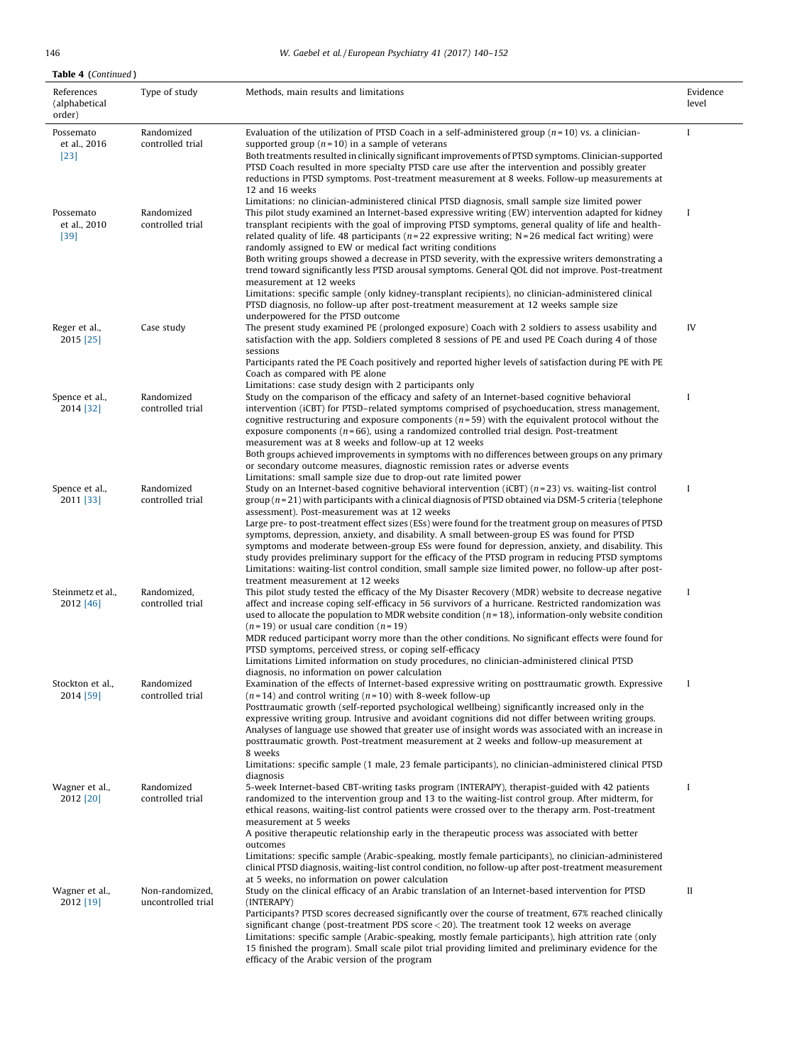# 146 W. Gaebel et al. / European Psychiatry 41 (2017) 140–152

| References                          | Type of study                         | Methods, main results and limitations                                                                                                                                                                                                                                                                                                                                                                                                                                                  | Evidence |
|-------------------------------------|---------------------------------------|----------------------------------------------------------------------------------------------------------------------------------------------------------------------------------------------------------------------------------------------------------------------------------------------------------------------------------------------------------------------------------------------------------------------------------------------------------------------------------------|----------|
| (alphabetical<br>order)             |                                       |                                                                                                                                                                                                                                                                                                                                                                                                                                                                                        | level    |
| Possemato<br>et al., 2016<br>$[23]$ | Randomized<br>controlled trial        | Evaluation of the utilization of PTSD Coach in a self-administered group $(n=10)$ vs. a clinician-<br>supported group ( $n = 10$ ) in a sample of veterans<br>Both treatments resulted in clinically significant improvements of PTSD symptoms. Clinician-supported<br>PTSD Coach resulted in more specialty PTSD care use after the intervention and possibly greater                                                                                                                 | I        |
|                                     |                                       | reductions in PTSD symptoms. Post-treatment measurement at 8 weeks. Follow-up measurements at<br>12 and 16 weeks                                                                                                                                                                                                                                                                                                                                                                       |          |
| Possemato<br>et al., 2010<br>$[39]$ | Randomized<br>controlled trial        | Limitations: no clinician-administered clinical PTSD diagnosis, small sample size limited power<br>This pilot study examined an Internet-based expressive writing (EW) intervention adapted for kidney<br>transplant recipients with the goal of improving PTSD symptoms, general quality of life and health-<br>related quality of life. 48 participants ( $n=22$ expressive writing; N = 26 medical fact writing) were<br>randomly assigned to EW or medical fact writing conditions | I        |
|                                     |                                       | Both writing groups showed a decrease in PTSD severity, with the expressive writers demonstrating a<br>trend toward significantly less PTSD arousal symptoms. General QOL did not improve. Post-treatment<br>measurement at 12 weeks<br>Limitations: specific sample (only kidney-transplant recipients), no clinician-administered clinical                                                                                                                                           |          |
|                                     |                                       | PTSD diagnosis, no follow-up after post-treatment measurement at 12 weeks sample size<br>underpowered for the PTSD outcome                                                                                                                                                                                                                                                                                                                                                             |          |
| Reger et al.,<br>2015 [25]          | Case study                            | The present study examined PE (prolonged exposure) Coach with 2 soldiers to assess usability and<br>satisfaction with the app. Soldiers completed 8 sessions of PE and used PE Coach during 4 of those<br>sessions                                                                                                                                                                                                                                                                     | IV       |
|                                     |                                       | Participants rated the PE Coach positively and reported higher levels of satisfaction during PE with PE<br>Coach as compared with PE alone<br>Limitations: case study design with 2 participants only                                                                                                                                                                                                                                                                                  |          |
| Spence et al.,<br>2014 [32]         | Randomized<br>controlled trial        | Study on the comparison of the efficacy and safety of an Internet-based cognitive behavioral<br>intervention (iCBT) for PTSD-related symptoms comprised of psychoeducation, stress management,<br>cognitive restructuring and exposure components $(n=59)$ with the equivalent protocol without the<br>exposure components ( $n = 66$ ), using a randomized controlled trial design. Post-treatment<br>measurement was at 8 weeks and follow-up at 12 weeks                            | I        |
|                                     |                                       | Both groups achieved improvements in symptoms with no differences between groups on any primary<br>or secondary outcome measures, diagnostic remission rates or adverse events<br>Limitations: small sample size due to drop-out rate limited power                                                                                                                                                                                                                                    |          |
| Spence et al.,<br>2011 [33]         | Randomized<br>controlled trial        | Study on an Internet-based cognitive behavioral intervention ( $iCBT$ ) ( $n=23$ ) vs. waiting-list control<br>group $(n=21)$ with participants with a clinical diagnosis of PTSD obtained via DSM-5 criteria (telephone<br>assessment). Post-measurement was at 12 weeks<br>Large pre- to post-treatment effect sizes (ESs) were found for the treatment group on measures of PTSD                                                                                                    | I        |
|                                     |                                       | symptoms, depression, anxiety, and disability. A small between-group ES was found for PTSD<br>symptoms and moderate between-group ESs were found for depression, anxiety, and disability. This<br>study provides preliminary support for the efficacy of the PTSD program in reducing PTSD symptoms<br>Limitations: waiting-list control condition, small sample size limited power, no follow-up after post-<br>treatment measurement at 12 weeks                                     |          |
| Steinmetz et al.,<br>2012 [46]      | Randomized,<br>controlled trial       | This pilot study tested the efficacy of the My Disaster Recovery (MDR) website to decrease negative<br>affect and increase coping self-efficacy in 56 survivors of a hurricane. Restricted randomization was<br>used to allocate the population to MDR website condition $(n=18)$ , information-only website condition<br>$(n=19)$ or usual care condition $(n=19)$                                                                                                                    | $\bf{I}$ |
|                                     |                                       | MDR reduced participant worry more than the other conditions. No significant effects were found for<br>PTSD symptoms, perceived stress, or coping self-efficacy<br>Limitations Limited information on study procedures, no clinician-administered clinical PTSD                                                                                                                                                                                                                        |          |
| Stockton et al.,<br>2014 [59]       | Randomized<br>controlled trial        | diagnosis, no information on power calculation<br>Examination of the effects of Internet-based expressive writing on posttraumatic growth. Expressive<br>$(n=14)$ and control writing $(n=10)$ with 8-week follow-up                                                                                                                                                                                                                                                                   | $\bf{I}$ |
|                                     |                                       | Posttraumatic growth (self-reported psychological wellbeing) significantly increased only in the<br>expressive writing group. Intrusive and avoidant cognitions did not differ between writing groups.<br>Analyses of language use showed that greater use of insight words was associated with an increase in<br>posttraumatic growth. Post-treatment measurement at 2 weeks and follow-up measurement at<br>8 weeks                                                                  |          |
| Wagner et al.,                      | Randomized                            | Limitations: specific sample (1 male, 23 female participants), no clinician-administered clinical PTSD<br>diagnosis<br>5-week Internet-based CBT-writing tasks program (INTERAPY), therapist-guided with 42 patients                                                                                                                                                                                                                                                                   | I        |
| 2012 [20]                           | controlled trial                      | randomized to the intervention group and 13 to the waiting-list control group. After midterm, for<br>ethical reasons, waiting-list control patients were crossed over to the therapy arm. Post-treatment<br>measurement at 5 weeks<br>A positive therapeutic relationship early in the therapeutic process was associated with better<br>outcomes<br>Limitations: specific sample (Arabic-speaking, mostly female participants), no clinician-administered                             |          |
|                                     |                                       | clinical PTSD diagnosis, waiting-list control condition, no follow-up after post-treatment measurement<br>at 5 weeks, no information on power calculation                                                                                                                                                                                                                                                                                                                              |          |
| Wagner et al.,<br>2012 [19]         | Non-randomized,<br>uncontrolled trial | Study on the clinical efficacy of an Arabic translation of an Internet-based intervention for PTSD<br>(INTERAPY)<br>Participants? PTSD scores decreased significantly over the course of treatment, 67% reached clinically<br>significant change (post-treatment PDS score $<$ 20). The treatment took 12 weeks on average                                                                                                                                                             | П        |
|                                     |                                       | Limitations: specific sample (Arabic-speaking, mostly female participants), high attrition rate (only<br>15 finished the program). Small scale pilot trial providing limited and preliminary evidence for the<br>efficacy of the Arabic version of the program                                                                                                                                                                                                                         |          |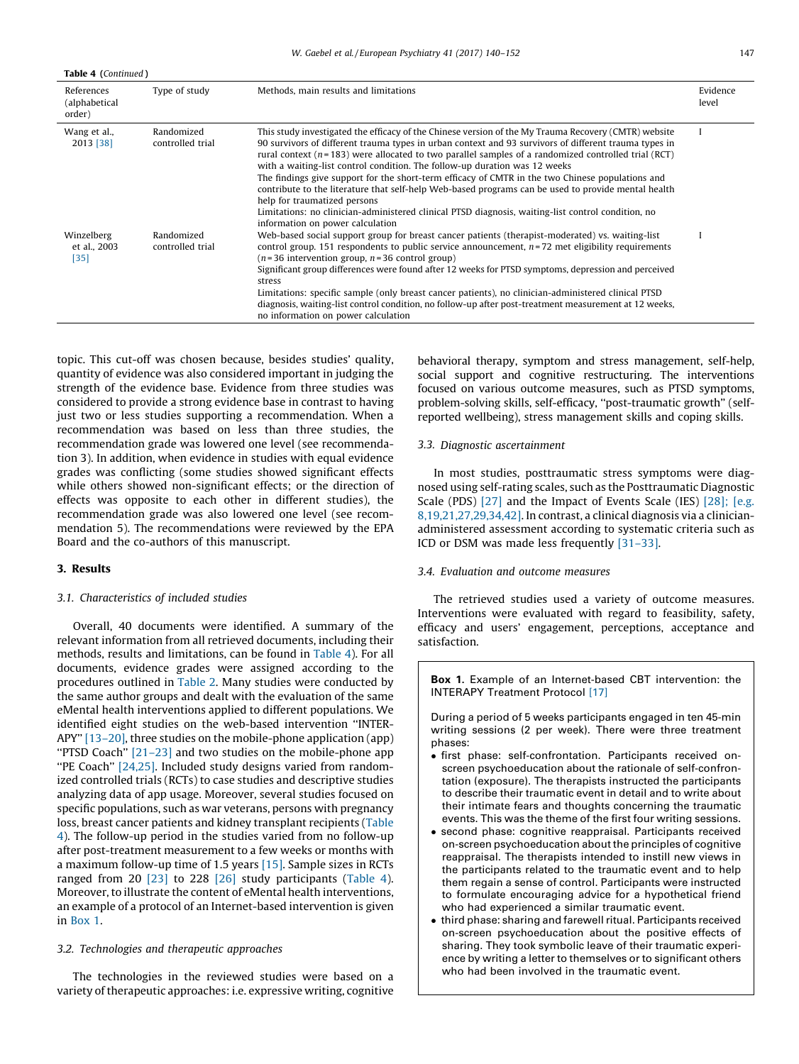| Table 4 (Continued)                   |                                |                                                                                                                                                                                                                                                                                                                                                                                                                                                                                                                                                                                                                                                                                                                                                                                             |                   |  |  |
|---------------------------------------|--------------------------------|---------------------------------------------------------------------------------------------------------------------------------------------------------------------------------------------------------------------------------------------------------------------------------------------------------------------------------------------------------------------------------------------------------------------------------------------------------------------------------------------------------------------------------------------------------------------------------------------------------------------------------------------------------------------------------------------------------------------------------------------------------------------------------------------|-------------------|--|--|
| References<br>(alphabetical<br>order) | Type of study                  | Methods, main results and limitations                                                                                                                                                                                                                                                                                                                                                                                                                                                                                                                                                                                                                                                                                                                                                       | Evidence<br>level |  |  |
| Wang et al.,<br>2013 [38]             | Randomized<br>controlled trial | This study investigated the efficacy of the Chinese version of the My Trauma Recovery (CMTR) website<br>90 survivors of different trauma types in urban context and 93 survivors of different trauma types in<br>rural context ( $n=183$ ) were allocated to two parallel samples of a randomized controlled trial (RCT)<br>with a waiting-list control condition. The follow-up duration was 12 weeks<br>The findings give support for the short-term efficacy of CMTR in the two Chinese populations and<br>contribute to the literature that self-help Web-based programs can be used to provide mental health<br>help for traumatized persons<br>Limitations: no clinician-administered clinical PTSD diagnosis, waiting-list control condition, no<br>information on power calculation |                   |  |  |
| Winzelberg<br>et al., 2003<br>$[35]$  | Randomized<br>controlled trial | Web-based social support group for breast cancer patients (therapist-moderated) vs. waiting-list<br>control group. 151 respondents to public service announcement, $n=72$ met eligibility requirements<br>$(n=36$ intervention group, $n=36$ control group)<br>Significant group differences were found after 12 weeks for PTSD symptoms, depression and perceived<br>stress<br>Limitations: specific sample (only breast cancer patients), no clinician-administered clinical PTSD<br>diagnosis, waiting-list control condition, no follow-up after post-treatment measurement at 12 weeks,<br>no information on power calculation                                                                                                                                                         |                   |  |  |

topic. This cut-off was chosen because, besides studies' quality, quantity of evidence was also considered important in judging the strength of the evidence base. Evidence from three studies was considered to provide a strong evidence base in contrast to having just two or less studies supporting a recommendation. When a recommendation was based on less than three studies, the recommendation grade was lowered one level (see recommendation 3). In addition, when evidence in studies with equal evidence grades was conflicting (some studies showed significant effects while others showed non-significant effects; or the direction of effects was opposite to each other in different studies), the recommendation grade was also lowered one level (see recommendation 5). The recommendations were reviewed by the EPA Board and the co-authors of this manuscript.

## 3. Results

#### 3.1. Characteristics of included studies

Overall, 40 documents were identified. A summary of the relevant information from all retrieved documents, including their methods, results and limitations, can be found in [Table](#page-3-0) 4). For all documents, evidence grades were assigned according to the procedures outlined in [Table](#page-2-0) 2. Many studies were conducted by the same author groups and dealt with the evaluation of the same eMental health interventions applied to different populations. We identified eight studies on the web-based intervention ''INTER-APY'' [\[13–20\]](#page-11-0), three studies on the mobile-phone application (app) ''PTSD Coach'' [\[21–23\]](#page-11-0) and two studies on the mobile-phone app ''PE Coach'' [\[24,25\].](#page-11-0) Included study designs varied from randomized controlled trials (RCTs) to case studies and descriptive studies analyzing data of app usage. Moreover, several studies focused on specific populations, such as war veterans, persons with pregnancy loss, breast cancer patients and kidney transplant recipients ([Table](#page-3-0) [4](#page-3-0)). The follow-up period in the studies varied from no follow-up after post-treatment measurement to a few weeks or months with a maximum follow-up time of 1.5 years [\[15\].](#page-11-0) Sample sizes in RCTs ranged from 20 [\[23\]](#page-11-0) to 228 [\[26\]](#page-11-0) study participants ([Table](#page-3-0) 4). Moreover, to illustrate the content of eMental health interventions, an example of a protocol of an Internet-based intervention is given in Box 1.

## 3.2. Technologies and therapeutic approaches

The technologies in the reviewed studies were based on a variety of therapeutic approaches: i.e. expressive writing, cognitive behavioral therapy, symptom and stress management, self-help, social support and cognitive restructuring. The interventions focused on various outcome measures, such as PTSD symptoms, problem-solving skills, self-efficacy, ''post-traumatic growth'' (selfreported wellbeing), stress management skills and coping skills.

#### 3.3. Diagnostic ascertainment

In most studies, posttraumatic stress symptoms were diagnosed using self-rating scales, such as the Posttraumatic Diagnostic Scale (PDS) [\[27\]](#page-11-0) and the Impact of Events Scale (IES) [\[28\];](#page-11-0) [e.g. [8,19,21,27,29,34,42\].](#page-11-0) In contrast, a clinical diagnosis via a clinicianadministered assessment according to systematic criteria such as ICD or DSM was made less frequently [\[31–33\].](#page-11-0)

## 3.4. Evaluation and outcome measures

The retrieved studies used a variety of outcome measures. Interventions were evaluated with regard to feasibility, safety, efficacy and users' engagement, perceptions, acceptance and satisfaction.

Box 1. Example of an Internet-based CBT intervention: the INTERAPY Treatment Protocol [\[17\]](#page-11-0)

During a period of 5 weeks participants engaged in ten 45-min writing sessions (2 per week). There were three treatment phases:

- first phase: self-confrontation. Participants received onscreen psychoeducation about the rationale of self-confrontation (exposure). The therapists instructed the participants to describe their traumatic event in detail and to write about their intimate fears and thoughts concerning the traumatic events. This was the theme of the first four writing sessions.
- second phase: cognitive reappraisal. Participants received on-screen psychoeducation about the principles of cognitive reappraisal. The therapists intended to instill new views in the participants related to the traumatic event and to help them regain a sense of control. Participants were instructed to formulate encouraging advice for a hypothetical friend who had experienced a similar traumatic event.
- third phase: sharing and farewell ritual. Participants received on-screen psychoeducation about the positive effects of sharing. They took symbolic leave of their traumatic experience by writing a letter to themselves or to significant others who had been involved in the traumatic event.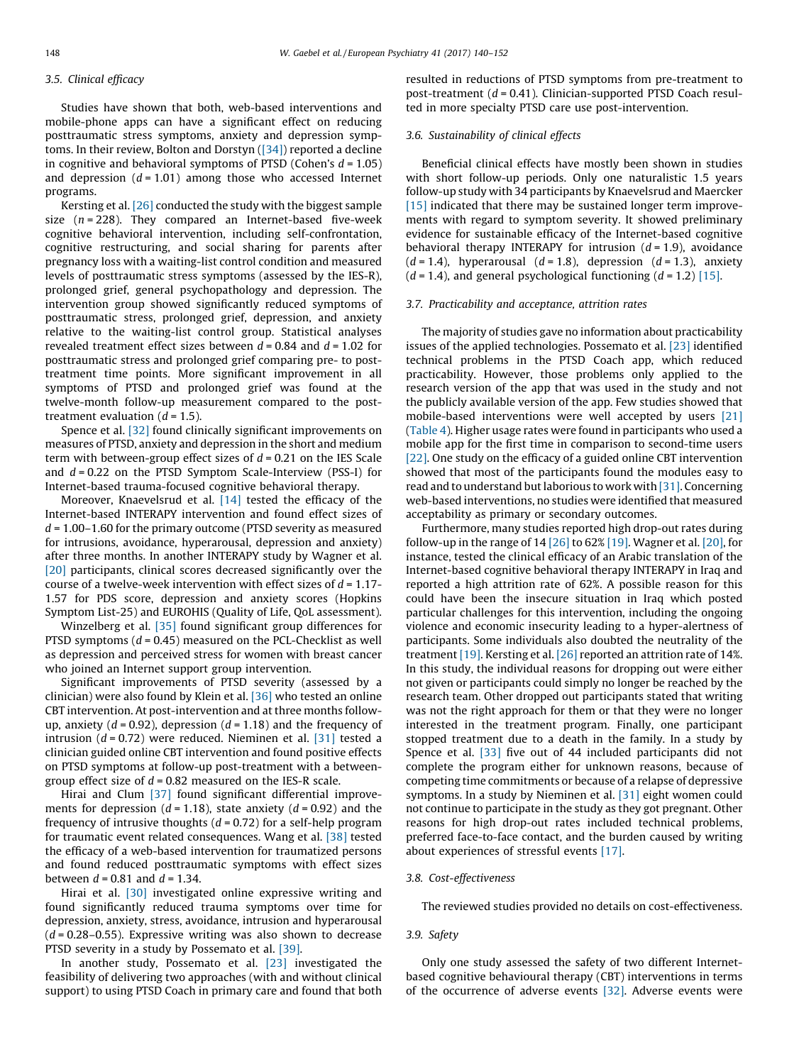## 3.5. Clinical efficacy

Studies have shown that both, web-based interventions and mobile-phone apps can have a significant effect on reducing posttraumatic stress symptoms, anxiety and depression symptoms. In their review, Bolton and Dorstyn [\(\[34\]\)](#page-11-0) reported a decline in cognitive and behavioral symptoms of PTSD (Cohen's  $d = 1.05$ ) and depression  $(d = 1.01)$  among those who accessed Internet programs.

Kersting et al. [\[26\]](#page-11-0) conducted the study with the biggest sample size  $(n = 228)$ . They compared an Internet-based five-week cognitive behavioral intervention, including self-confrontation, cognitive restructuring, and social sharing for parents after pregnancy loss with a waiting-list control condition and measured levels of posttraumatic stress symptoms (assessed by the IES-R), prolonged grief, general psychopathology and depression. The intervention group showed significantly reduced symptoms of posttraumatic stress, prolonged grief, depression, and anxiety relative to the waiting-list control group. Statistical analyses revealed treatment effect sizes between  $d = 0.84$  and  $d = 1.02$  for posttraumatic stress and prolonged grief comparing pre- to posttreatment time points. More significant improvement in all symptoms of PTSD and prolonged grief was found at the twelve-month follow-up measurement compared to the posttreatment evaluation  $(d = 1.5)$ .

Spence et al. [\[32\]](#page-11-0) found clinically significant improvements on measures of PTSD, anxiety and depression in the short and medium term with between-group effect sizes of  $d = 0.21$  on the IES Scale and  $d = 0.22$  on the PTSD Symptom Scale-Interview (PSS-I) for Internet-based trauma-focused cognitive behavioral therapy.

Moreover, Knaevelsrud et al. [\[14\]](#page-11-0) tested the efficacy of the Internet-based INTERAPY intervention and found effect sizes of  $d = 1.00-1.60$  for the primary outcome (PTSD severity as measured for intrusions, avoidance, hyperarousal, depression and anxiety) after three months. In another INTERAPY study by Wagner et al. [\[20\]](#page-11-0) participants, clinical scores decreased significantly over the course of a twelve-week intervention with effect sizes of  $d = 1.17$ -1.57 for PDS score, depression and anxiety scores (Hopkins Symptom List-25) and EUROHIS (Quality of Life, QoL assessment).

Winzelberg et al. [\[35\]](#page-11-0) found significant group differences for PTSD symptoms  $(d = 0.45)$  measured on the PCL-Checklist as well as depression and perceived stress for women with breast cancer who joined an Internet support group intervention.

Significant improvements of PTSD severity (assessed by a clinician) were also found by Klein et al. [\[36\]](#page-11-0) who tested an online CBT intervention. At post-intervention and at three months followup, anxiety ( $d = 0.92$ ), depression ( $d = 1.18$ ) and the frequency of intrusion ( $d = 0.72$ ) were reduced. Nieminen et al. [\[31\]](#page-11-0) tested a clinician guided online CBT intervention and found positive effects on PTSD symptoms at follow-up post-treatment with a betweengroup effect size of  $d = 0.82$  measured on the IES-R scale.

Hirai and Clum [\[37\]](#page-11-0) found significant differential improvements for depression ( $d = 1.18$ ), state anxiety ( $d = 0.92$ ) and the frequency of intrusive thoughts  $(d = 0.72)$  for a self-help program for traumatic event related consequences. Wang et al. [\[38\]](#page-11-0) tested the efficacy of a web-based intervention for traumatized persons and found reduced posttraumatic symptoms with effect sizes between  $d = 0.81$  and  $d = 1.34$ .

Hirai et al. [\[30\]](#page-11-0) investigated online expressive writing and found significantly reduced trauma symptoms over time for depression, anxiety, stress, avoidance, intrusion and hyperarousal  $(d = 0.28 - 0.55)$ . Expressive writing was also shown to decrease PTSD severity in a study by Possemato et al. [\[39\].](#page-11-0)

In another study, Possemato et al. [\[23\]](#page-11-0) investigated the feasibility of delivering two approaches (with and without clinical support) to using PTSD Coach in primary care and found that both resulted in reductions of PTSD symptoms from pre-treatment to post-treatment  $(d = 0.41)$ . Clinician-supported PTSD Coach resulted in more specialty PTSD care use post-intervention.

## 3.6. Sustainability of clinical effects

Beneficial clinical effects have mostly been shown in studies with short follow-up periods. Only one naturalistic 1.5 years follow-up study with 34 participants by Knaevelsrud and Maercker [\[15\]](#page-11-0) indicated that there may be sustained longer term improvements with regard to symptom severity. It showed preliminary evidence for sustainable efficacy of the Internet-based cognitive behavioral therapy INTERAPY for intrusion  $(d = 1.9)$ , avoidance  $(d = 1.4)$ , hyperarousal  $(d = 1.8)$ , depression  $(d = 1.3)$ , anxiety  $(d = 1.4)$ , and general psychological functioning  $(d = 1.2)$  [\[15\].](#page-11-0)

### 3.7. Practicability and acceptance, attrition rates

The majority of studies gave no information about practicability issues of the applied technologies. Possemato et al. [\[23\]](#page-11-0) identified technical problems in the PTSD Coach app, which reduced practicability. However, those problems only applied to the research version of the app that was used in the study and not the publicly available version of the app. Few studies showed that mobile-based interventions were well accepted by users [\[21\]](#page-11-0) ([Table](#page-3-0) 4). Higher usage rates were found in participants who used a mobile app for the first time in comparison to second-time users [\[22\]](#page-11-0). One study on the efficacy of a guided online CBT intervention showed that most of the participants found the modules easy to read and to understand butlaborious to work with [\[31\]](#page-11-0). Concerning web-based interventions, no studies were identified that measured acceptability as primary or secondary outcomes.

Furthermore, many studies reported high drop-out rates during follow-up in the range of  $14$  [\[26\]](#page-11-0) to 62% [\[19\]](#page-11-0). Wagner et al. [\[20\]](#page-11-0), for instance, tested the clinical efficacy of an Arabic translation of the Internet-based cognitive behavioral therapy INTERAPY in Iraq and reported a high attrition rate of 62%. A possible reason for this could have been the insecure situation in Iraq which posted particular challenges for this intervention, including the ongoing violence and economic insecurity leading to a hyper-alertness of participants. Some individuals also doubted the neutrality of the treatment [\[19\]](#page-11-0). Kersting et al. [\[26\]](#page-11-0) reported an attrition rate of 14%. In this study, the individual reasons for dropping out were either not given or participants could simply no longer be reached by the research team. Other dropped out participants stated that writing was not the right approach for them or that they were no longer interested in the treatment program. Finally, one participant stopped treatment due to a death in the family. In a study by Spence et al. [\[33\]](#page-11-0) five out of 44 included participants did not complete the program either for unknown reasons, because of competing time commitments or because of a relapse of depressive symptoms. In a study by Nieminen et al. [\[31\]](#page-11-0) eight women could not continue to participate in the study as they got pregnant. Other reasons for high drop-out rates included technical problems, preferred face-to-face contact, and the burden caused by writing about experiences of stressful events [\[17\].](#page-11-0)

#### 3.8. Cost-effectiveness

The reviewed studies provided no details on cost-effectiveness.

## 3.9. Safety

Only one study assessed the safety of two different Internetbased cognitive behavioural therapy (CBT) interventions in terms of the occurrence of adverse events [\[32\]](#page-11-0). Adverse events were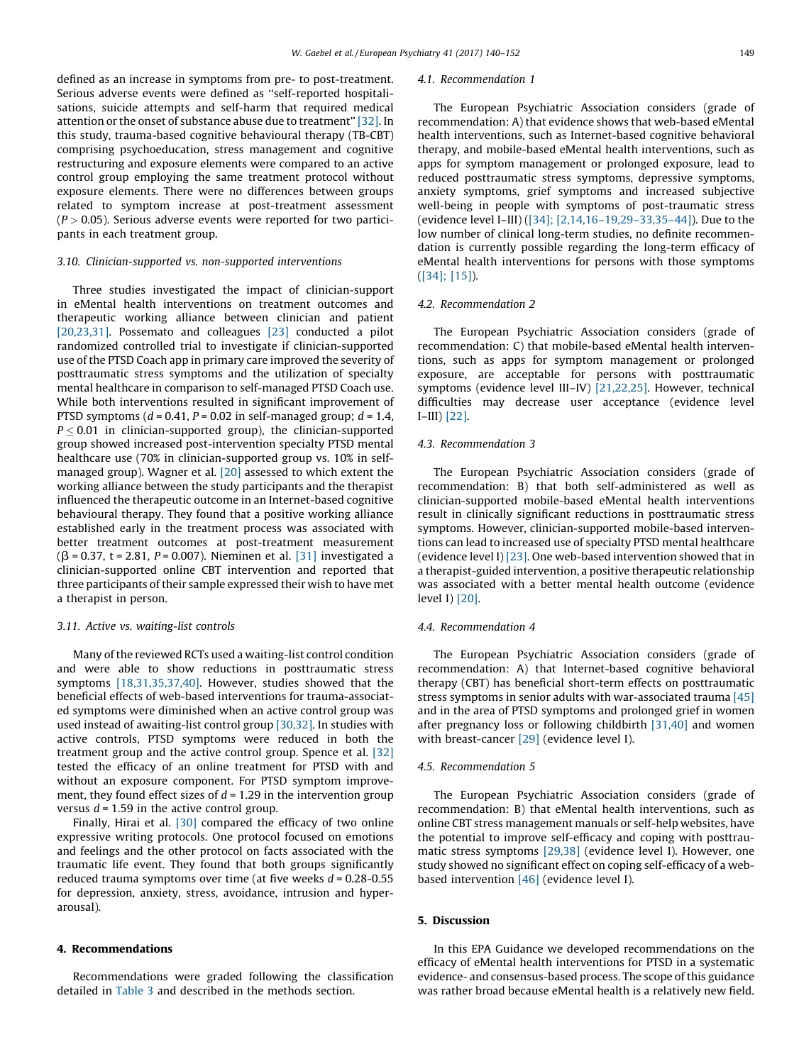defined as an increase in symptoms from pre- to post-treatment. Serious adverse events were defined as ''self-reported hospitalisations, suicide attempts and self-harm that required medical attention or the onset of substance abuse due to treatment'' [\[32\]](#page-11-0). In this study, trauma-based cognitive behavioural therapy (TB-CBT) comprising psychoeducation, stress management and cognitive restructuring and exposure elements were compared to an active control group employing the same treatment protocol without exposure elements. There were no differences between groups related to symptom increase at post-treatment assessment  $(P > 0.05)$ . Serious adverse events were reported for two participants in each treatment group.

## 3.10. Clinician-supported vs. non-supported interventions

Three studies investigated the impact of clinician-support in eMental health interventions on treatment outcomes and therapeutic working alliance between clinician and patient [\[20,23,31\]](#page-11-0). Possemato and colleagues [\[23\]](#page-11-0) conducted a pilot randomized controlled trial to investigate if clinician-supported use of the PTSD Coach app in primary care improved the severity of posttraumatic stress symptoms and the utilization of specialty mental healthcare in comparison to self-managed PTSD Coach use. While both interventions resulted in significant improvement of PTSD symptoms ( $d = 0.41$ ,  $P = 0.02$  in self-managed group;  $d = 1.4$ ,  $P \leq 0.01$  in clinician-supported group), the clinician-supported group showed increased post-intervention specialty PTSD mental healthcare use (70% in clinician-supported group vs. 10% in selfmanaged group). Wagner et al. [\[20\]](#page-11-0) assessed to which extent the working alliance between the study participants and the therapist influenced the therapeutic outcome in an Internet-based cognitive behavioural therapy. They found that a positive working alliance established early in the treatment process was associated with better treatment outcomes at post-treatment measurement  $(\beta = 0.37, t = 2.81, P = 0.007)$ . Nieminen et al. [\[31\]](#page-11-0) investigated a clinician-supported online CBT intervention and reported that three participants of their sample expressed their wish to have met a therapist in person.

#### 3.11. Active vs. waiting-list controls

Many of the reviewed RCTs used a waiting-list control condition and were able to show reductions in posttraumatic stress symptoms [\[18,31,35,37,40\].](#page-11-0) However, studies showed that the beneficial effects of web-based interventions for trauma-associated symptoms were diminished when an active control group was used instead of awaiting-list control group [\[30,32\]](#page-11-0). In studies with active controls, PTSD symptoms were reduced in both the treatment group and the active control group. Spence et al. [\[32\]](#page-11-0) tested the efficacy of an online treatment for PTSD with and without an exposure component. For PTSD symptom improvement, they found effect sizes of  $d = 1.29$  in the intervention group versus  $d = 1.59$  in the active control group.

Finally, Hirai et al. [\[30\]](#page-11-0) compared the efficacy of two online expressive writing protocols. One protocol focused on emotions and feelings and the other protocol on facts associated with the traumatic life event. They found that both groups significantly reduced trauma symptoms over time (at five weeks  $d = 0.28 - 0.55$ for depression, anxiety, stress, avoidance, intrusion and hyperarousal).

## 4. Recommendations

Recommendations were graded following the classification detailed in [Table](#page-2-0) 3 and described in the methods section.

#### 4.1. Recommendation 1

The European Psychiatric Association considers (grade of recommendation: A) that evidence shows that web-based eMental health interventions, such as Internet-based cognitive behavioral therapy, and mobile-based eMental health interventions, such as apps for symptom management or prolonged exposure, lead to reduced posttraumatic stress symptoms, depressive symptoms, anxiety symptoms, grief symptoms and increased subjective well-being in people with symptoms of post-traumatic stress (evidence level I–III) ([34]; [\[2,14,16–19,29–33,35–44\]\)](#page-11-0). Due to the low number of clinical long-term studies, no definite recommendation is currently possible regarding the long-term efficacy of eMental health interventions for persons with those symptoms ([\[34\];](#page-11-0) [15]).

## 4.2. Recommendation 2

The European Psychiatric Association considers (grade of recommendation: C) that mobile-based eMental health interventions, such as apps for symptom management or prolonged exposure, are acceptable for persons with posttraumatic symptoms (evidence level III–IV) [\[21,22,25\].](#page-11-0) However, technical difficulties may decrease user acceptance (evidence level I–III) [\[22\]](#page-11-0).

## 4.3. Recommendation 3

The European Psychiatric Association considers (grade of recommendation: B) that both self-administered as well as clinician-supported mobile-based eMental health interventions result in clinically significant reductions in posttraumatic stress symptoms. However, clinician-supported mobile-based interventions can lead to increased use of specialty PTSD mental healthcare (evidence level I) [\[23\]](#page-11-0). One web-based intervention showed that in a therapist-guided intervention, a positive therapeutic relationship was associated with a better mental health outcome (evidence level I) [\[20\]](#page-11-0).

#### 4.4. Recommendation 4

The European Psychiatric Association considers (grade of recommendation: A) that Internet-based cognitive behavioral therapy (CBT) has beneficial short-term effects on posttraumatic stress symptoms in senior adults with war-associated trauma [\[45\]](#page-11-0) and in the area of PTSD symptoms and prolonged grief in women after pregnancy loss or following childbirth [\[31,40\]](#page-11-0) and women with breast-cancer [\[29\]](#page-11-0) (evidence level I).

#### 4.5. Recommendation 5

The European Psychiatric Association considers (grade of recommendation: B) that eMental health interventions, such as online CBT stress management manuals or self-help websites, have the potential to improve self-efficacy and coping with posttraumatic stress symptoms [\[29,38\]](#page-11-0) (evidence level I). However, one study showed no significant effect on coping self-efficacy of a webbased intervention [\[46\]](#page-11-0) (evidence level I).

## 5. Discussion

In this EPA Guidance we developed recommendations on the efficacy of eMental health interventions for PTSD in a systematic evidence- and consensus-based process. The scope of this guidance was rather broad because eMental health is a relatively new field.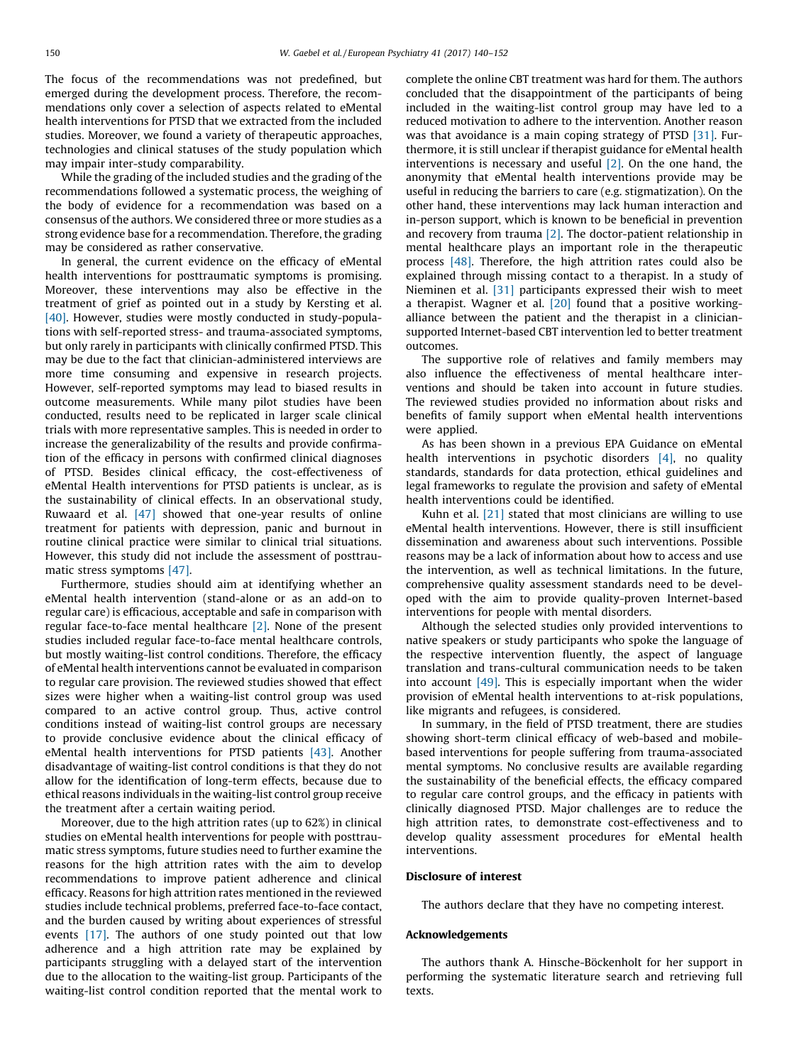The focus of the recommendations was not predefined, but emerged during the development process. Therefore, the recommendations only cover a selection of aspects related to eMental health interventions for PTSD that we extracted from the included studies. Moreover, we found a variety of therapeutic approaches, technologies and clinical statuses of the study population which may impair inter-study comparability.

While the grading of the included studies and the grading of the recommendations followed a systematic process, the weighing of the body of evidence for a recommendation was based on a consensus of the authors. We considered three or more studies as a strong evidence base for a recommendation. Therefore, the grading may be considered as rather conservative.

In general, the current evidence on the efficacy of eMental health interventions for posttraumatic symptoms is promising. Moreover, these interventions may also be effective in the treatment of grief as pointed out in a study by Kersting et al. [\[40\]](#page-11-0). However, studies were mostly conducted in study-populations with self-reported stress- and trauma-associated symptoms, but only rarely in participants with clinically confirmed PTSD. This may be due to the fact that clinician-administered interviews are more time consuming and expensive in research projects. However, self-reported symptoms may lead to biased results in outcome measurements. While many pilot studies have been conducted, results need to be replicated in larger scale clinical trials with more representative samples. This is needed in order to increase the generalizability of the results and provide confirmation of the efficacy in persons with confirmed clinical diagnoses of PTSD. Besides clinical efficacy, the cost-effectiveness of eMental Health interventions for PTSD patients is unclear, as is the sustainability of clinical effects. In an observational study, Ruwaard et al. [\[47\]](#page-11-0) showed that one-year results of online treatment for patients with depression, panic and burnout in routine clinical practice were similar to clinical trial situations. However, this study did not include the assessment of posttraumatic stress symptoms [\[47\]](#page-11-0).

Furthermore, studies should aim at identifying whether an eMental health intervention (stand-alone or as an add-on to regular care) is efficacious, acceptable and safe in comparison with regular face-to-face mental healthcare  $[2]$ . None of the present studies included regular face-to-face mental healthcare controls, but mostly waiting-list control conditions. Therefore, the efficacy of eMental health interventions cannot be evaluated in comparison to regular care provision. The reviewed studies showed that effect sizes were higher when a waiting-list control group was used compared to an active control group. Thus, active control conditions instead of waiting-list control groups are necessary to provide conclusive evidence about the clinical efficacy of eMental health interventions for PTSD patients [\[43\].](#page-11-0) Another disadvantage of waiting-list control conditions is that they do not allow for the identification of long-term effects, because due to ethical reasons individuals in the waiting-list control group receive the treatment after a certain waiting period.

Moreover, due to the high attrition rates (up to 62%) in clinical studies on eMental health interventions for people with posttraumatic stress symptoms, future studies need to further examine the reasons for the high attrition rates with the aim to develop recommendations to improve patient adherence and clinical efficacy. Reasons for high attrition rates mentioned in the reviewed studies include technical problems, preferred face-to-face contact, and the burden caused by writing about experiences of stressful events [\[17\]](#page-11-0). The authors of one study pointed out that low adherence and a high attrition rate may be explained by participants struggling with a delayed start of the intervention due to the allocation to the waiting-list group. Participants of the waiting-list control condition reported that the mental work to complete the online CBT treatment was hard for them. The authors concluded that the disappointment of the participants of being included in the waiting-list control group may have led to a reduced motivation to adhere to the intervention. Another reason was that avoidance is a main coping strategy of PTSD [\[31\].](#page-11-0) Furthermore, it is still unclear if therapist guidance for eMental health interventions is necessary and useful [\[2\]](#page-11-0). On the one hand, the anonymity that eMental health interventions provide may be useful in reducing the barriers to care (e.g. stigmatization). On the other hand, these interventions may lack human interaction and in-person support, which is known to be beneficial in prevention and recovery from trauma [\[2\]](#page-11-0). The doctor-patient relationship in mental healthcare plays an important role in the therapeutic process [\[48\].](#page-11-0) Therefore, the high attrition rates could also be explained through missing contact to a therapist. In a study of Nieminen et al. [\[31\]](#page-11-0) participants expressed their wish to meet a therapist. Wagner et al.  $[20]$  found that a positive workingalliance between the patient and the therapist in a cliniciansupported Internet-based CBT intervention led to better treatment outcomes.

The supportive role of relatives and family members may also influence the effectiveness of mental healthcare interventions and should be taken into account in future studies. The reviewed studies provided no information about risks and benefits of family support when eMental health interventions were applied.

As has been shown in a previous EPA Guidance on eMental health interventions in psychotic disorders [\[4\],](#page-11-0) no quality standards, standards for data protection, ethical guidelines and legal frameworks to regulate the provision and safety of eMental health interventions could be identified.

Kuhn et al.  $[21]$  stated that most clinicians are willing to use eMental health interventions. However, there is still insufficient dissemination and awareness about such interventions. Possible reasons may be a lack of information about how to access and use the intervention, as well as technical limitations. In the future, comprehensive quality assessment standards need to be developed with the aim to provide quality-proven Internet-based interventions for people with mental disorders.

Although the selected studies only provided interventions to native speakers or study participants who spoke the language of the respective intervention fluently, the aspect of language translation and trans-cultural communication needs to be taken into account  $[49]$ . This is especially important when the wider provision of eMental health interventions to at-risk populations, like migrants and refugees, is considered.

In summary, in the field of PTSD treatment, there are studies showing short-term clinical efficacy of web-based and mobilebased interventions for people suffering from trauma-associated mental symptoms. No conclusive results are available regarding the sustainability of the beneficial effects, the efficacy compared to regular care control groups, and the efficacy in patients with clinically diagnosed PTSD. Major challenges are to reduce the high attrition rates, to demonstrate cost-effectiveness and to develop quality assessment procedures for eMental health interventions.

#### Disclosure of interest

The authors declare that they have no competing interest.

#### Acknowledgements

The authors thank A. Hinsche-Böckenholt for her support in performing the systematic literature search and retrieving full texts.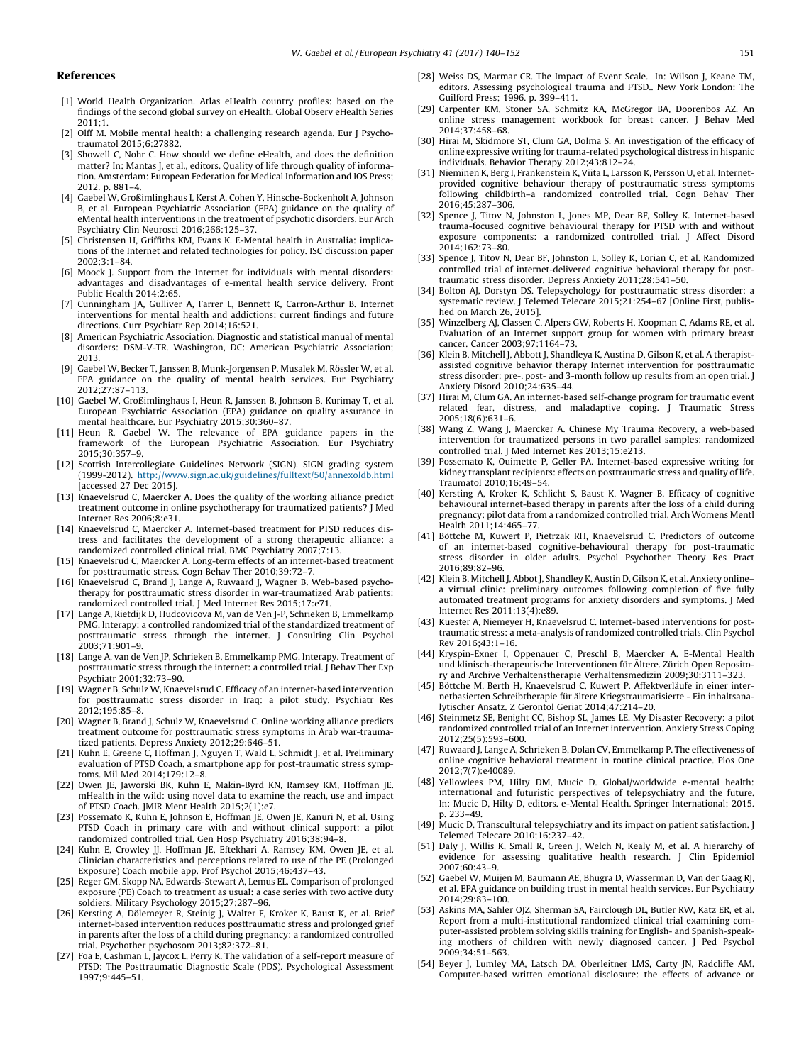#### <span id="page-11-0"></span>References

- [1] World Health [Organization.](http://refhub.elsevier.com/S0924-9338(17)30006-8/sbref0005) Atlas eHealth country profiles: based on the findings of the second global survey on [eHealth.](http://refhub.elsevier.com/S0924-9338(17)30006-8/sbref0005) Global Observ eHealth Series  $2011:1$
- [2] Olff M. Mobile mental health: a [challenging](http://refhub.elsevier.com/S0924-9338(17)30006-8/sbref0010) research agenda. Eur J Psychotraumatol [2015;6:27882.](http://refhub.elsevier.com/S0924-9338(17)30006-8/sbref0010)
- [3] Showell C, Nohr C. How should we define eHealth, and does the [definition](http://refhub.elsevier.com/S0924-9338(17)30006-8/sbref0015) matter? In: Mantas J, et al., editors. Quality of life through quality of [informa](http://refhub.elsevier.com/S0924-9338(17)30006-8/sbref0015)tion. [Amsterdam:](http://refhub.elsevier.com/S0924-9338(17)30006-8/sbref0015) European Federation for Medical Information and IOS Press; 2012. p. [881–4](http://refhub.elsevier.com/S0924-9338(17)30006-8/sbref0015).
- [4] Gaebel W, Großimlinghaus I, Kerst A, Cohen Y, [Hinsche-Bockenholt](http://refhub.elsevier.com/S0924-9338(17)30006-8/sbref0020) A, Johnson B, et al. European Psychiatric [Association](http://refhub.elsevier.com/S0924-9338(17)30006-8/sbref0020) (EPA) guidance on the quality of eMental health [interventions](http://refhub.elsevier.com/S0924-9338(17)30006-8/sbref0020) in the treatment of psychotic disorders. Eur Arch Psychiatry Clin Neurosci [2016;266:125–37](http://refhub.elsevier.com/S0924-9338(17)30006-8/sbref0020).
- [5] [Christensen](http://refhub.elsevier.com/S0924-9338(17)30006-8/sbref0025) H, Griffiths KM, Evans K. E-Mental health in Australia: implications of the Internet and related [technologies](http://refhub.elsevier.com/S0924-9338(17)30006-8/sbref0025) for policy. ISC discussion paper [2002;3:1–84](http://refhub.elsevier.com/S0924-9338(17)30006-8/sbref0025).
- [6] Moock J. Support from the Internet for [individuals](http://refhub.elsevier.com/S0924-9338(17)30006-8/sbref0030) with mental disorders: advantages and [disadvantages](http://refhub.elsevier.com/S0924-9338(17)30006-8/sbref0030) of e-mental health service delivery. Front Public Health [2014;2:65](http://refhub.elsevier.com/S0924-9338(17)30006-8/sbref0030).
- [7] Cunningham JA, Gulliver A, Farrer L, Bennett K, [Carron-Arthur](http://refhub.elsevier.com/S0924-9338(17)30006-8/sbref0035) B. Internet [interventions](http://refhub.elsevier.com/S0924-9338(17)30006-8/sbref0035) for mental health and addictions: current findings and future directions. Curr Psychiatr Rep [2014;16:521](http://refhub.elsevier.com/S0924-9338(17)30006-8/sbref0035).
- [8] American Psychiatric [Association.](http://refhub.elsevier.com/S0924-9338(17)30006-8/sbref0040) Diagnostic and statistical manual of mental disorders: DSM-V-TR. [Washington,](http://refhub.elsevier.com/S0924-9338(17)30006-8/sbref0040) DC: American Psychiatric Association; [2013](http://refhub.elsevier.com/S0924-9338(17)30006-8/sbref0040).
- [9] Gaebel W, Becker T, Janssen B, [Munk-Jorgensen](http://refhub.elsevier.com/S0924-9338(17)30006-8/sbref0045) P, Musalek M, Rössler W, et al. EPA guidance on the quality of mental health services. Eur [Psychiatry](http://refhub.elsevier.com/S0924-9338(17)30006-8/sbref0045) [2012;27:87–113.](http://refhub.elsevier.com/S0924-9338(17)30006-8/sbref0045)
- [10] Gaebel W, [Großimlinghaus](http://refhub.elsevier.com/S0924-9338(17)30006-8/sbref0050) I, Heun R, Janssen B, Johnson B, Kurimay T, et al. European Psychiatric [Association](http://refhub.elsevier.com/S0924-9338(17)30006-8/sbref0050) (EPA) guidance on quality assurance in mental healthcare. Eur Psychiatry [2015;30:360–87.](http://refhub.elsevier.com/S0924-9338(17)30006-8/sbref0050)
- [11] Heun R, Gaebel W. The [relevance](http://refhub.elsevier.com/S0924-9338(17)30006-8/sbref0055) of EPA guidance papers in the framework of the European Psychiatric [Association.](http://refhub.elsevier.com/S0924-9338(17)30006-8/sbref0055) Eur Psychiatry [2015;30:357–9.](http://refhub.elsevier.com/S0924-9338(17)30006-8/sbref0055)
- [12] Scottish Intercollegiate Guidelines Network (SIGN). SIGN grading system (1999-2012). <http://www.sign.ac.uk/guidelines/fulltext/50/annexoldb.html> [\[accessed](http://www.sign.ac.uk/guidelines/fulltext/50/annexoldb.html) 27 Dec 2015].
- [13] [Knaevelsrud](http://refhub.elsevier.com/S0924-9338(17)30006-8/sbref0065) C, Maercker A. Does the quality of the working alliance predict treatment outcome in online [psychotherapy](http://refhub.elsevier.com/S0924-9338(17)30006-8/sbref0065) for traumatized patients? J Med Internet Res [2006;8:e31](http://refhub.elsevier.com/S0924-9338(17)30006-8/sbref0065).
- [14] Knaevelsrud C, Maercker A. [Internet-based](http://refhub.elsevier.com/S0924-9338(17)30006-8/sbref0070) treatment for PTSD reduces distress and facilitates the [development](http://refhub.elsevier.com/S0924-9338(17)30006-8/sbref0070) of a strong therapeutic alliance: a [randomized](http://refhub.elsevier.com/S0924-9338(17)30006-8/sbref0070) controlled clinical trial. BMC Psychiatry 2007;7:13.
- [15] Knaevelsrud C, Maercker A. Long-term effects of an [internet-based](http://refhub.elsevier.com/S0924-9338(17)30006-8/sbref0075) treatment for [posttraumatic](http://refhub.elsevier.com/S0924-9338(17)30006-8/sbref0075) stress. Cogn Behav Ther 2010;39:72–7.
- [16] [Knaevelsrud](http://refhub.elsevier.com/S0924-9338(17)30006-8/sbref0080) C, Brand J, Lange A, Ruwaard J, Wagner B. Web-based psychotherapy for posttraumatic stress disorder in [war-traumatized](http://refhub.elsevier.com/S0924-9338(17)30006-8/sbref0080) Arab patients: randomized controlled trial. J Med Internet Res [2015;17:e71.](http://refhub.elsevier.com/S0924-9338(17)30006-8/sbref0080)
- [17] Lange A, Rietdijk D, [Hudcovicova](http://refhub.elsevier.com/S0924-9338(17)30006-8/sbref0085) M, van de Ven J-P, Schrieken B, Emmelkamp PMG. Interapy: a controlled randomized trial of the [standardized](http://refhub.elsevier.com/S0924-9338(17)30006-8/sbref0085) treatment of [posttraumatic](http://refhub.elsevier.com/S0924-9338(17)30006-8/sbref0085) stress through the internet. J Consulting Clin Psychol  $2003.71.901 - 9$
- [18] Lange A, van de Ven JP, Schrieken B, [Emmelkamp](http://refhub.elsevier.com/S0924-9338(17)30006-8/sbref0090) PMG. Interapy. Treatment of [posttraumatic](http://refhub.elsevier.com/S0924-9338(17)30006-8/sbref0090) stress through the internet: a controlled trial. J Behav Ther Exp Psychiatr [2001;32:73–90.](http://refhub.elsevier.com/S0924-9338(17)30006-8/sbref0090)
- [19] Wagner B, Schulz W, Knaevelsrud C. Efficacy of an [internet-based](http://refhub.elsevier.com/S0924-9338(17)30006-8/sbref0095) intervention for [posttraumatic](http://refhub.elsevier.com/S0924-9338(17)30006-8/sbref0095) stress disorder in Iraq: a pilot study. Psychiatr Res [2012;195:85–8.](http://refhub.elsevier.com/S0924-9338(17)30006-8/sbref0095)
- [20] Wagner B, Brand J, Schulz W, [Knaevelsrud](http://refhub.elsevier.com/S0924-9338(17)30006-8/sbref0100) C. Online working alliance predicts treatment outcome for [posttraumatic](http://refhub.elsevier.com/S0924-9338(17)30006-8/sbref0100) stress symptoms in Arab war-traumatized patients. Depress Anxiety [2012;29:646–51.](http://refhub.elsevier.com/S0924-9338(17)30006-8/sbref0100)
- [21] Kuhn E, Greene C, Hoffman J, Nguyen T, Wald L, Schmidt J, et al. [Preliminary](http://refhub.elsevier.com/S0924-9338(17)30006-8/sbref0105) evaluation of PTSD Coach, a smartphone app for [post-traumatic](http://refhub.elsevier.com/S0924-9338(17)30006-8/sbref0105) stress symptoms. Mil Med [2014;179:12–8.](http://refhub.elsevier.com/S0924-9338(17)30006-8/sbref0105)
- [22] Owen JE, Jaworski BK, Kuhn E, [Makin-Byrd](http://refhub.elsevier.com/S0924-9338(17)30006-8/sbref0110) KN, Ramsey KM, Hoffman JE. [mHealth](http://refhub.elsevier.com/S0924-9338(17)30006-8/sbref0110) in the wild: using novel data to examine the reach, use and impact of PTSD Coach. JMIR Ment Health [2015;2\(1\):e7](http://refhub.elsevier.com/S0924-9338(17)30006-8/sbref0110).
- [23] [Possemato](http://refhub.elsevier.com/S0924-9338(17)30006-8/sbref0115) K, Kuhn E, Johnson E, Hoffman JE, Owen JE, Kanuri N, et al. Using PTSD Coach in primary care with and without clinical [support:](http://refhub.elsevier.com/S0924-9338(17)30006-8/sbref0115) a pilot randomized controlled trial. Gen Hosp Psychiatry [2016;38:94–8.](http://refhub.elsevier.com/S0924-9338(17)30006-8/sbref0115)
- [24] Kuhn E, Crowley JJ, Hoffman JE, [Eftekhari](http://refhub.elsevier.com/S0924-9338(17)30006-8/sbref0120) A, Ramsey KM, Owen JE, et al. Clinician [characteristics](http://refhub.elsevier.com/S0924-9338(17)30006-8/sbref0120) and perceptions related to use of the PE (Prolonged Exposure) Coach mobile app. Prof Psychol [2015;46:437–43](http://refhub.elsevier.com/S0924-9338(17)30006-8/sbref0120).
- [25] Reger GM, Skopp NA, [Edwards-Stewart](http://refhub.elsevier.com/S0924-9338(17)30006-8/sbref0125) A, Lemus EL. Comparison of prolonged exposure (PE) Coach to [treatment](http://refhub.elsevier.com/S0924-9338(17)30006-8/sbref0125) as usual: a case series with two active duty soldiers. Military Psychology [2015;27:287–96](http://refhub.elsevier.com/S0924-9338(17)30006-8/sbref0125).
- [26] Kersting A, Dölemeyer R, Steinig J, Walter F, Kroker K, Baust K, et al. Brief [internet-based](http://refhub.elsevier.com/S0924-9338(17)30006-8/sbref0130) intervention reduces posttraumatic stress and prolonged grief in parents after the loss of a child during pregnancy: a [randomized](http://refhub.elsevier.com/S0924-9338(17)30006-8/sbref0130) controlled trial. Psychother psychosom [2013;82:372–81](http://refhub.elsevier.com/S0924-9338(17)30006-8/sbref0130).
- [27] Foa E, Cashman L, Jaycox L, Perry K. The validation of a [self-report](http://refhub.elsevier.com/S0924-9338(17)30006-8/sbref0135) measure of PTSD: The [Posttraumatic](http://refhub.elsevier.com/S0924-9338(17)30006-8/sbref0135) Diagnostic Scale (PDS). Psychological Assessment [1997;9:445–51.](http://refhub.elsevier.com/S0924-9338(17)30006-8/sbref0135)
- [28] Weiss DS, [Marmar](http://refhub.elsevier.com/S0924-9338(17)30006-8/sbref0140) CR. The Impact of Event Scale. In: Wilson J, Keane TM, editors. Assessing [psychological](http://refhub.elsevier.com/S0924-9338(17)30006-8/sbref0140) trauma and PTSD.. New York London: The Guilford Press; 1996. p. [399–411](http://refhub.elsevier.com/S0924-9338(17)30006-8/sbref0140).
- [29] Carpenter KM, Stoner SA, Schmitz KA, McGregor BA, [Doorenbos](http://refhub.elsevier.com/S0924-9338(17)30006-8/sbref0145) AZ. An online stress [management](http://refhub.elsevier.com/S0924-9338(17)30006-8/sbref0145) workbook for breast cancer. J Behav Med [2014;37:458–68](http://refhub.elsevier.com/S0924-9338(17)30006-8/sbref0145).
- [30] Hirai M, Skidmore ST, Clum GA, Dolma S. An [investigation](http://refhub.elsevier.com/S0924-9338(17)30006-8/sbref0150) of the efficacy of online expressive writing for [trauma-related](http://refhub.elsevier.com/S0924-9338(17)30006-8/sbref0150) psychological distress in hispanic individuals. Behavior Therapy [2012;43:812–24](http://refhub.elsevier.com/S0924-9338(17)30006-8/sbref0150).
- [31] Nieminen K, Berg I, [Frankenstein](http://refhub.elsevier.com/S0924-9338(17)30006-8/sbref0155) K, Viita L, Larsson K, Persson U, et al. Internetprovided cognitive behaviour therapy of [posttraumatic](http://refhub.elsevier.com/S0924-9338(17)30006-8/sbref0155) stress symptoms following [childbirth–a](http://refhub.elsevier.com/S0924-9338(17)30006-8/sbref0155) randomized controlled trial. Cogn Behav Ther [2016;45:287–306](http://refhub.elsevier.com/S0924-9338(17)30006-8/sbref0155).
- [32] Spence J, Titov N, Johnston L, Jones MP, Dear BF, Solley K. [Internet-based](http://refhub.elsevier.com/S0924-9338(17)30006-8/sbref0160) [trauma-focused](http://refhub.elsevier.com/S0924-9338(17)30006-8/sbref0160) cognitive behavioural therapy for PTSD with and without exposure [components:](http://refhub.elsevier.com/S0924-9338(17)30006-8/sbref0160) a randomized controlled trial. J Affect Disord [2014;162:73–80](http://refhub.elsevier.com/S0924-9338(17)30006-8/sbref0160).
- [33] Spence J, Titov N, Dear BF, Johnston L, Solley K, Lorian C, et al. [Randomized](http://refhub.elsevier.com/S0924-9338(17)30006-8/sbref0165) controlled trial of [internet-delivered](http://refhub.elsevier.com/S0924-9338(17)30006-8/sbref0165) cognitive behavioral therapy for posttraumatic stress disorder. Depress Anxiety [2011;28:541–50.](http://refhub.elsevier.com/S0924-9338(17)30006-8/sbref0165)
- [34] Bolton AJ, Dorstyn DS. [Telepsychology](http://refhub.elsevier.com/S0924-9338(17)30006-8/sbref0170) for posttraumatic stress disorder: a systematic review. J Telemed Telecare [2015;21:254–67](http://refhub.elsevier.com/S0924-9338(17)30006-8/sbref0170) [Online First, published on [March](http://refhub.elsevier.com/S0924-9338(17)30006-8/sbref0170) 26, 2015].
- [35] [Winzelberg](http://refhub.elsevier.com/S0924-9338(17)30006-8/sbref0175) AJ, Classen C, Alpers GW, Roberts H, Koopman C, Adams RE, et al. [Evaluation](http://refhub.elsevier.com/S0924-9338(17)30006-8/sbref0175) of an Internet support group for women with primary breast cancer. Cancer [2003;97:1164–73.](http://refhub.elsevier.com/S0924-9338(17)30006-8/sbref0175)
- [36] Klein B, Mitchell J, Abbott J, [Shandleya](http://refhub.elsevier.com/S0924-9338(17)30006-8/sbref0180) K, Austina D, Gilson K, et al. A therapistassisted cognitive behavior therapy Internet intervention for [posttraumatic](http://refhub.elsevier.com/S0924-9338(17)30006-8/sbref0180) stress [disorder:](http://refhub.elsevier.com/S0924-9338(17)30006-8/sbref0180) pre-, post- and 3-month follow up results from an open trial. J Anxiety Disord [2010;24:635–44](http://refhub.elsevier.com/S0924-9338(17)30006-8/sbref0180).
- [37] Hirai M, Clum GA. An [internet-based](http://refhub.elsevier.com/S0924-9338(17)30006-8/sbref0185) self-change program for traumatic event related fear, distress, and [maladaptive](http://refhub.elsevier.com/S0924-9338(17)30006-8/sbref0185) coping. J Traumatic Stress [2005;18\(6\):631–6](http://refhub.elsevier.com/S0924-9338(17)30006-8/sbref0185).
- [38] Wang Z, Wang J, Maercker A. Chinese My Trauma Recovery, a [web-based](http://refhub.elsevier.com/S0924-9338(17)30006-8/sbref0190) [intervention](http://refhub.elsevier.com/S0924-9338(17)30006-8/sbref0190) for traumatized persons in two parallel samples: randomized controlled trial. J Med Internet Res [2013;15:e213.](http://refhub.elsevier.com/S0924-9338(17)30006-8/sbref0190)
- [39] Possemato K, Ouimette P, Geller PA. [Internet-based](http://refhub.elsevier.com/S0924-9338(17)30006-8/sbref0195) expressive writing for kidney transplant recipients: effects on [posttraumatic](http://refhub.elsevier.com/S0924-9338(17)30006-8/sbref0195) stress and quality of life. Traumatol [2010;16:49–54](http://refhub.elsevier.com/S0924-9338(17)30006-8/sbref0195).
- [40] Kersting A, Kroker K, Schlicht S, Baust K, Wagner B. Efficacy of [cognitive](http://refhub.elsevier.com/S0924-9338(17)30006-8/sbref0200) behavioural [internet-based](http://refhub.elsevier.com/S0924-9338(17)30006-8/sbref0200) therapy in parents after the loss of a child during pregnancy: pilot data from a [randomized](http://refhub.elsevier.com/S0924-9338(17)30006-8/sbref0200) controlled trial. Arch Womens Mentl Health [2011;14:465–77.](http://refhub.elsevier.com/S0924-9338(17)30006-8/sbref0200)
- [41] Böttche M, Kuwert P, Pietrzak RH, [Knaevelsrud](http://refhub.elsevier.com/S0924-9338(17)30006-8/sbref0205) C. Predictors of outcome of an internet-based [cognitive-behavioural](http://refhub.elsevier.com/S0924-9338(17)30006-8/sbref0205) therapy for post-traumatic stress disorder in older adults. Psychol [Psychother](http://refhub.elsevier.com/S0924-9338(17)30006-8/sbref0205) Theory Res Pract [2016;89:82–96.](http://refhub.elsevier.com/S0924-9338(17)30006-8/sbref0205)
- [42] Klein B, Mitchell J, Abbot J, [Shandley](http://refhub.elsevier.com/S0924-9338(17)30006-8/sbref0210) K, Austin D, Gilson K, et al. Anxiety onlinea virtual clinic: [preliminary](http://refhub.elsevier.com/S0924-9338(17)30006-8/sbref0210) outcomes following completion of five fully automated treatment programs for anxiety disorders and [symptoms.](http://refhub.elsevier.com/S0924-9338(17)30006-8/sbref0210) J Med Internet Res [2011;13\(4\):e89.](http://refhub.elsevier.com/S0924-9338(17)30006-8/sbref0210)
- [43] Kuester A, Niemeyer H, Knaevelsrud C. [Internet-based](http://refhub.elsevier.com/S0924-9338(17)30006-8/sbref0215) interventions for posttraumatic stress: a [meta-analysis](http://refhub.elsevier.com/S0924-9338(17)30006-8/sbref0215) of randomized controlled trials. Clin Psychol Rev [2016;43:1–16](http://refhub.elsevier.com/S0924-9338(17)30006-8/sbref0215).
- [44] [Kryspin-Exner](http://refhub.elsevier.com/S0924-9338(17)30006-8/sbref0220) I, Oppenauer C, Preschl B, Maercker A. E-Mental Health und [klinisch-therapeutische](http://refhub.elsevier.com/S0924-9338(17)30006-8/sbref0220) Interventionen für Ältere. Zürich Open Repository and Archive Verhaltenstherapie Verhaltensmedizin [2009;30:3111–323](http://refhub.elsevier.com/S0924-9338(17)30006-8/sbref0220).
- [45] Böttche M, Berth H, Knaevelsrud C, Kuwert P. Affektverläufe in einer inter-netbasierten Schreibtherapie für ältere [Kriegstraumatisierte](http://refhub.elsevier.com/S0924-9338(17)30006-8/sbref0225) - Ein inhaltsanalytischer Ansatz. Z Gerontol Geriat [2014;47:214–20](http://refhub.elsevier.com/S0924-9338(17)30006-8/sbref0225).
- [46] [Steinmetz](http://refhub.elsevier.com/S0924-9338(17)30006-8/sbref0230) SE, Benight CC, Bishop SL, James LE. My Disaster Recovery: a pilot randomized controlled trial of an Internet [intervention.](http://refhub.elsevier.com/S0924-9338(17)30006-8/sbref0230) Anxiety Stress Coping [2012;25\(5\):593–600.](http://refhub.elsevier.com/S0924-9338(17)30006-8/sbref0230)
- [47] Ruwaard J, Lange A, Schrieken B, Dolan CV, Emmelkamp P. The [effectiveness](http://refhub.elsevier.com/S0924-9338(17)30006-8/sbref0235) of online cognitive [behavioral](http://refhub.elsevier.com/S0924-9338(17)30006-8/sbref0235) treatment in routine clinical practice. Plos One [2012;7\(7\):e40089.](http://refhub.elsevier.com/S0924-9338(17)30006-8/sbref0235)
- [48] Yellowlees PM, Hilty DM, Mucic D. [Global/worldwide](http://refhub.elsevier.com/S0924-9338(17)30006-8/sbref0240) e-mental health: international and futuristic perspectives of [telepsychiatry](http://refhub.elsevier.com/S0924-9338(17)30006-8/sbref0240) and the future. In: Mucic D, Hilty D, editors. e-Mental Health. Springer [International;](http://refhub.elsevier.com/S0924-9338(17)30006-8/sbref0240) 2015. p. [233–49](http://refhub.elsevier.com/S0924-9338(17)30006-8/sbref0240).
- [49] Mucic D. Transcultural [telepsychiatry](http://refhub.elsevier.com/S0924-9338(17)30006-8/sbref0245) and its impact on patient satisfaction. J Telemed Telecare [2010;16:237–42](http://refhub.elsevier.com/S0924-9338(17)30006-8/sbref0245).
- [51] Daly J, Willis K, Small R, Green J, Welch N, Kealy M, et al. A [hierarchy](http://refhub.elsevier.com/S0924-9338(17)30006-8/sbref0250) of evidence for assessing [qualitative](http://refhub.elsevier.com/S0924-9338(17)30006-8/sbref0250) health research. J Clin Epidemiol [2007;60:43–9.](http://refhub.elsevier.com/S0924-9338(17)30006-8/sbref0250)
- [52] Gaebel W, Muijen M, Baumann AE, Bhugra D, [Wasserman](http://refhub.elsevier.com/S0924-9338(17)30006-8/sbref0255) D, Van der Gaag RJ, et al. EPA guidance on building trust in mental health services. Eur [Psychiatry](http://refhub.elsevier.com/S0924-9338(17)30006-8/sbref0255) [2014;29:83–100](http://refhub.elsevier.com/S0924-9338(17)30006-8/sbref0255).
- [53] Askins MA, Sahler OJZ, Sherman SA, [Fairclough](http://refhub.elsevier.com/S0924-9338(17)30006-8/sbref0260) DL, Butler RW, Katz ER, et al. Report from a [multi-institutional](http://refhub.elsevier.com/S0924-9338(17)30006-8/sbref0260) randomized clinical trial examining computer-assisted problem solving skills training for English- and [Spanish-speak](http://refhub.elsevier.com/S0924-9338(17)30006-8/sbref0260)ing mothers of children with newly [diagnosed](http://refhub.elsevier.com/S0924-9338(17)30006-8/sbref0260) cancer. J Ped Psychol [2009;34:51–563](http://refhub.elsevier.com/S0924-9338(17)30006-8/sbref0260).
- [54] Beyer J, Lumley MA, Latsch DA, [Oberleitner](http://refhub.elsevier.com/S0924-9338(17)30006-8/sbref0265) LMS, Carty JN, Radcliffe AM. [Computer-based](http://refhub.elsevier.com/S0924-9338(17)30006-8/sbref0265) written emotional disclosure: the effects of advance or